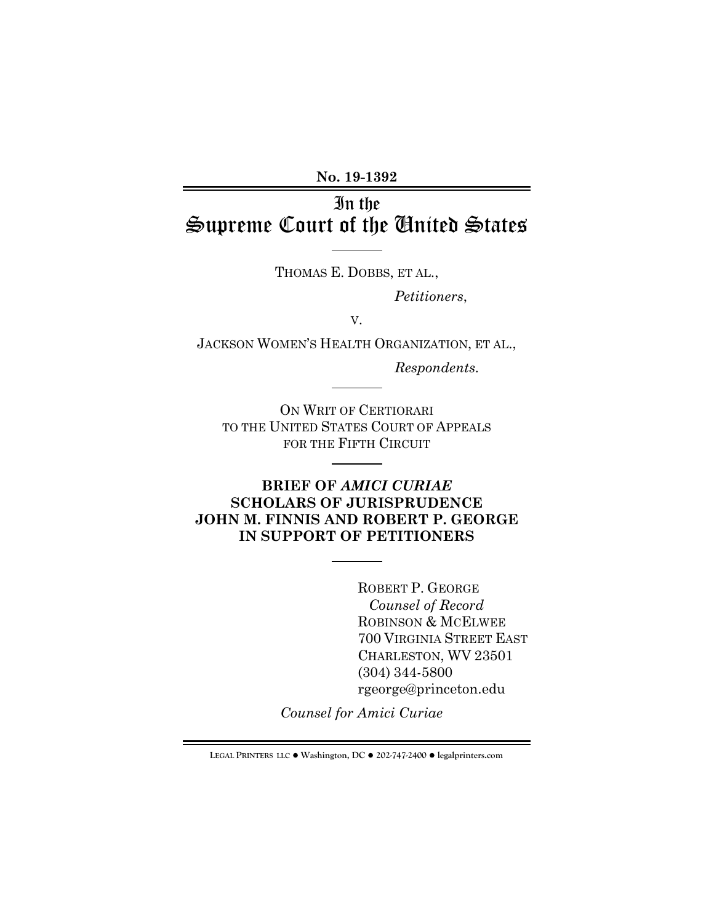**No. 19-1392**

# In the Supreme Court of the United States

THOMAS E. DOBBS, ET AL.,

*Petitioners*,

V.

JACKSON WOMEN'S HEALTH ORGANIZATION, ET AL.,

*Respondents.*

ON WRIT OF CERTIORARI TO THE UNITED STATES COURT OF APPEALS FOR THE FIFTH CIRCUIT

## **BRIEF OF** *AMICI CURIAE* **SCHOLARS OF JURISPRUDENCE JOHN M. FINNIS AND ROBERT P. GEORGE IN SUPPORT OF PETITIONERS**

ROBERT P. GEORGE *Counsel of Record* ROBINSON & MCELWEE 700 VIRGINIA STREET EAST CHARLESTON, WV 23501 (304) 344-5800 rgeorge@princeton.edu

*Counsel for Amici Curiae*

**LEGAL PRINTERS LLC** ! **Washington, DC** ! **202-747-2400** ! **legalprinters.com**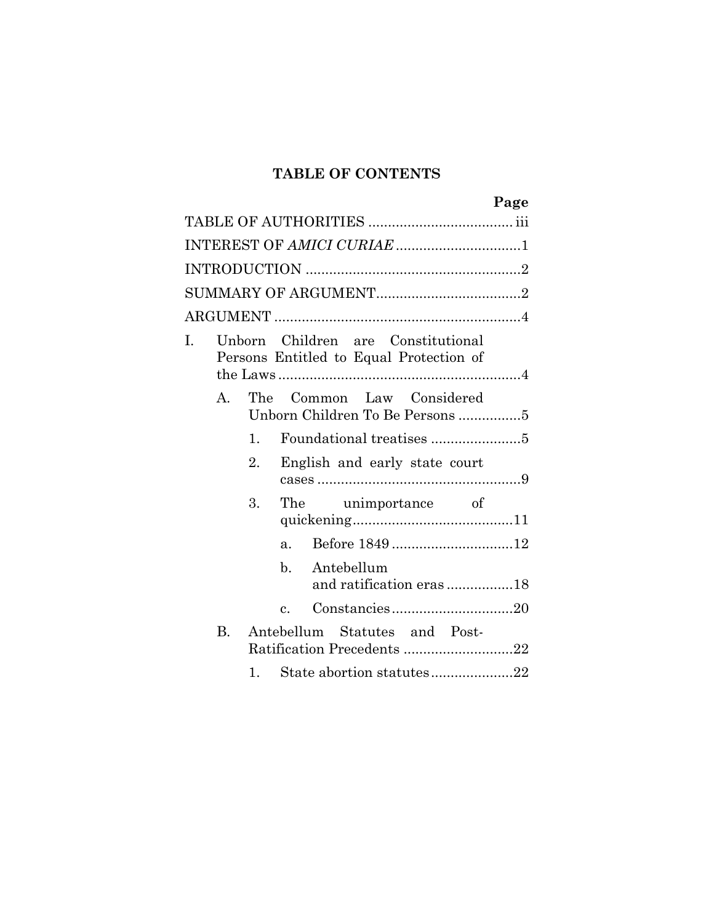## **TABLE OF CONTENTS**

|    |              |                |                                                                               | Page |
|----|--------------|----------------|-------------------------------------------------------------------------------|------|
|    |              |                |                                                                               |      |
|    |              |                | INTEREST OF AMICI CURIAE 1                                                    |      |
|    |              |                |                                                                               |      |
|    |              |                |                                                                               |      |
|    |              |                |                                                                               |      |
| I. |              |                | Unborn Children are Constitutional<br>Persons Entitled to Equal Protection of |      |
|    | $\mathbf{A}$ |                | The Common Law Considered<br>Unborn Children To Be Persons 5                  |      |
|    |              | 1 <sub>1</sub> |                                                                               |      |
|    |              | 2.             | English and early state court                                                 |      |
|    |              | 3.             | The unimportance of                                                           |      |
|    |              |                | a <sub>z</sub>                                                                |      |
|    |              |                | Antebellum<br>$\mathbf{b}$ .<br>and ratification eras 18                      |      |
|    |              |                | $\mathbf{c}$ .                                                                |      |
|    | $\rm B$ .    |                | Antebellum Statutes and Post-<br>Ratification Precedents 22                   |      |
|    |              | $1_{\ldots}$   | State abortion statutes22                                                     |      |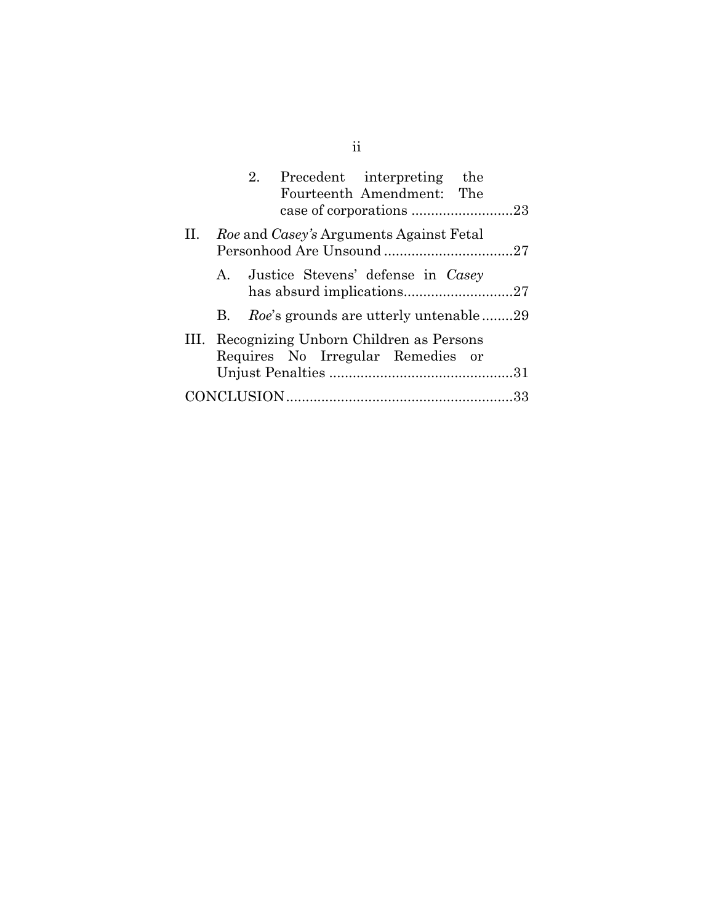| 2. Precedent interpreting<br>the<br>Fourteenth Amendment: The                    |
|----------------------------------------------------------------------------------|
| II. Roe and Casey's Arguments Against Fetal                                      |
| A. Justice Stevens' defense in Casey                                             |
| B. Roe's grounds are utterly untenable29                                         |
| III. Recognizing Unborn Children as Persons<br>Requires No Irregular Remedies or |
|                                                                                  |
|                                                                                  |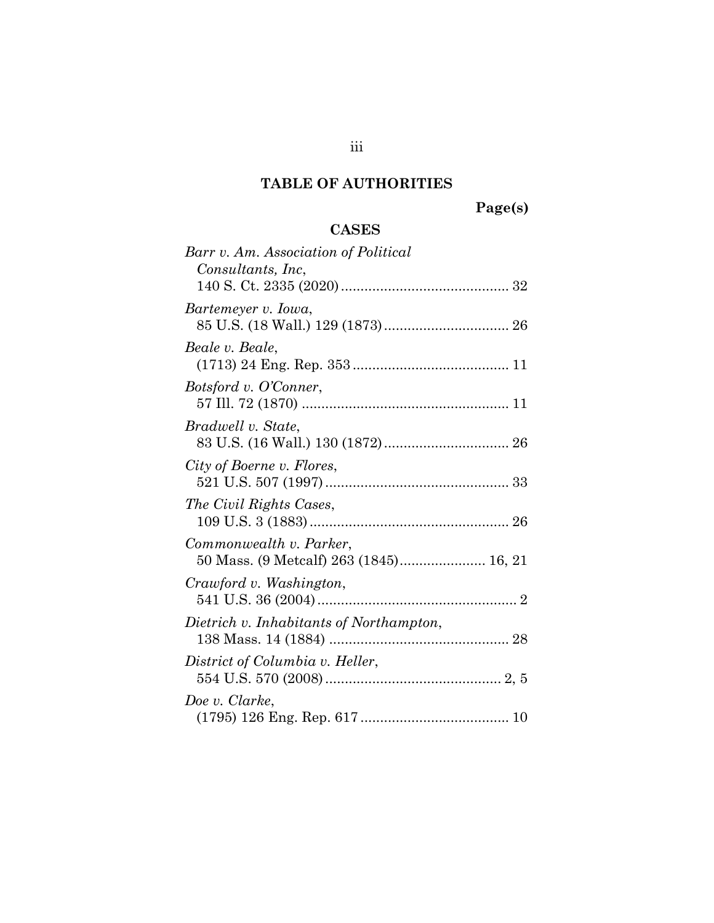# **TABLE OF AUTHORITIES**

**Page(s)**

## **CASES**

<span id="page-3-0"></span>

| Barr v. Am. Association of Political<br>Consultants, Inc.         |
|-------------------------------------------------------------------|
| Bartemeyer v. Iowa,                                               |
| Beale v. Beale,                                                   |
| Botsford v. O'Conner,                                             |
| Bradwell v. State,                                                |
| City of Boerne v. Flores,                                         |
| The Civil Rights Cases,                                           |
| Commonwealth v. Parker,<br>50 Mass. (9 Metcalf) 263 (1845) 16, 21 |
| Crawford v. Washington,                                           |
| Dietrich v. Inhabitants of Northampton,                           |
| District of Columbia v. Heller,                                   |
| Doe v. Clarke,                                                    |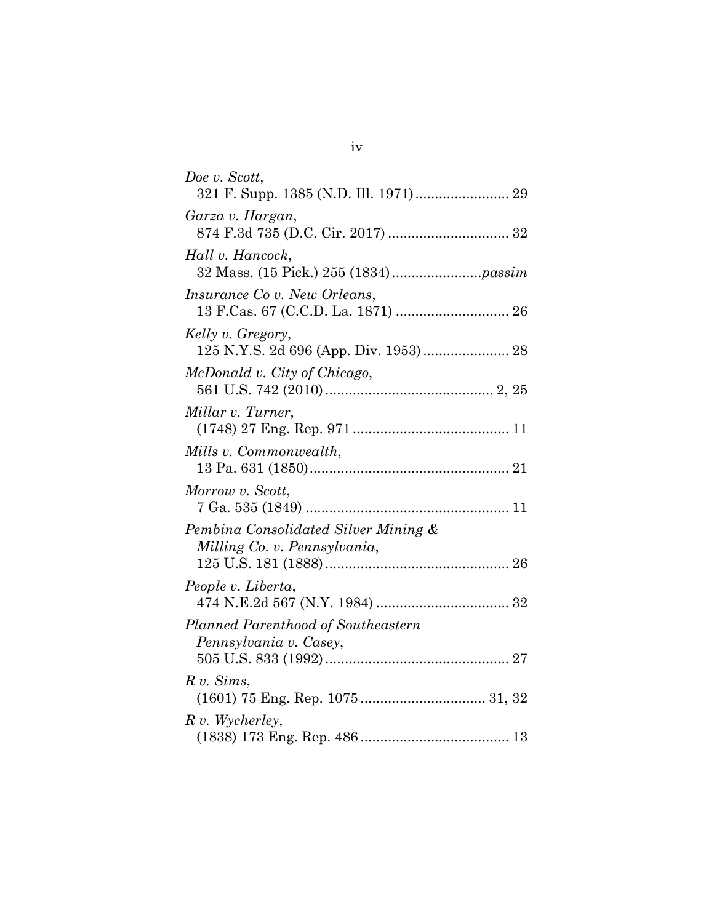| Doe v. Scott,                        |
|--------------------------------------|
|                                      |
| Garza v. Hargan,                     |
|                                      |
| Hall v. Hancock,                     |
|                                      |
| <i>Insurance Co v. New Orleans,</i>  |
|                                      |
| Kelly v. Gregory,                    |
|                                      |
| McDonald v. City of Chicago,         |
|                                      |
| Millar v. Turner,                    |
|                                      |
| Mills v. Commonwealth,               |
|                                      |
| Morrow v. Scott,                     |
|                                      |
| Pembina Consolidated Silver Mining & |
| Milling Co. v. Pennsylvania,         |
|                                      |
| People v. Liberta,                   |
|                                      |
| Planned Parenthood of Southeastern   |
| Pennsylvania v. Casey,               |
|                                      |
| R v. Sims,                           |
| (1601) 75 Eng. Rep. 1075  31, 32     |
| $R$ v. Wycherley,                    |
|                                      |

iv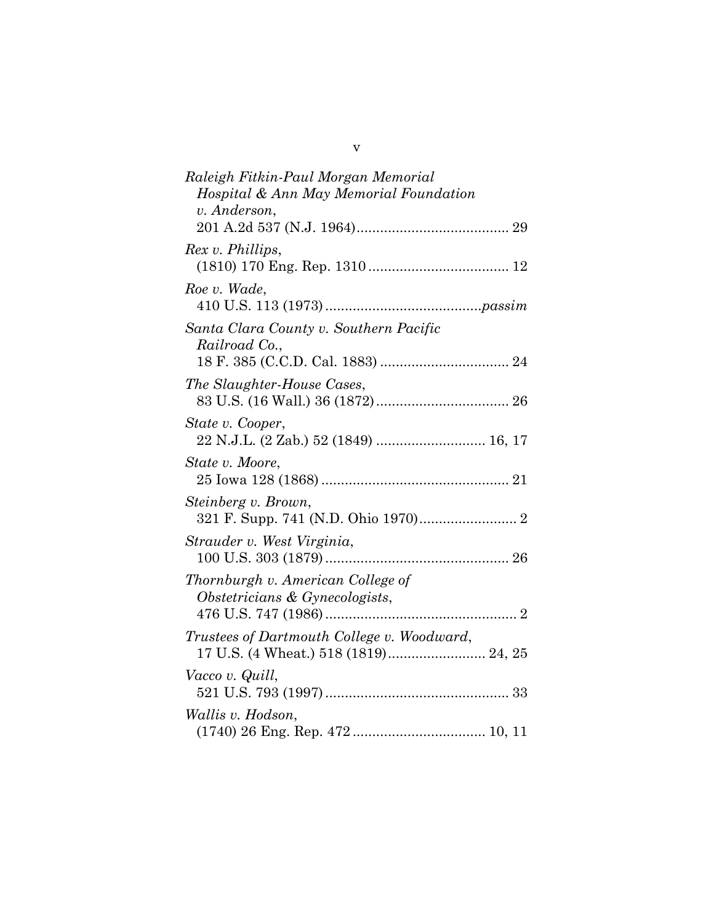| Raleigh Fitkin-Paul Morgan Memorial        |
|--------------------------------------------|
| Hospital & Ann May Memorial Foundation     |
| v. Anderson,                               |
|                                            |
| Rex v. Phillips,                           |
|                                            |
| Roe v. Wade,                               |
|                                            |
| Santa Clara County v. Southern Pacific     |
| Railroad Co.,                              |
|                                            |
| The Slaughter-House Cases,                 |
|                                            |
| State v. Cooper,                           |
| 22 N.J.L. (2 Zab.) 52 (1849)  16, 17       |
| State v. Moore,                            |
|                                            |
| Steinberg v. Brown,                        |
|                                            |
|                                            |
| Strauder v. West Virginia,                 |
|                                            |
| Thornburgh v. American College of          |
| Obstetricians & Gynecologists,             |
|                                            |
| Trustees of Dartmouth College v. Woodward, |
| 17 U.S. (4 Wheat.) 518 (1819) 24, 25       |
| Vacco v. Quill,                            |
|                                            |
| <i>Wallis v. Hodson,</i>                   |
|                                            |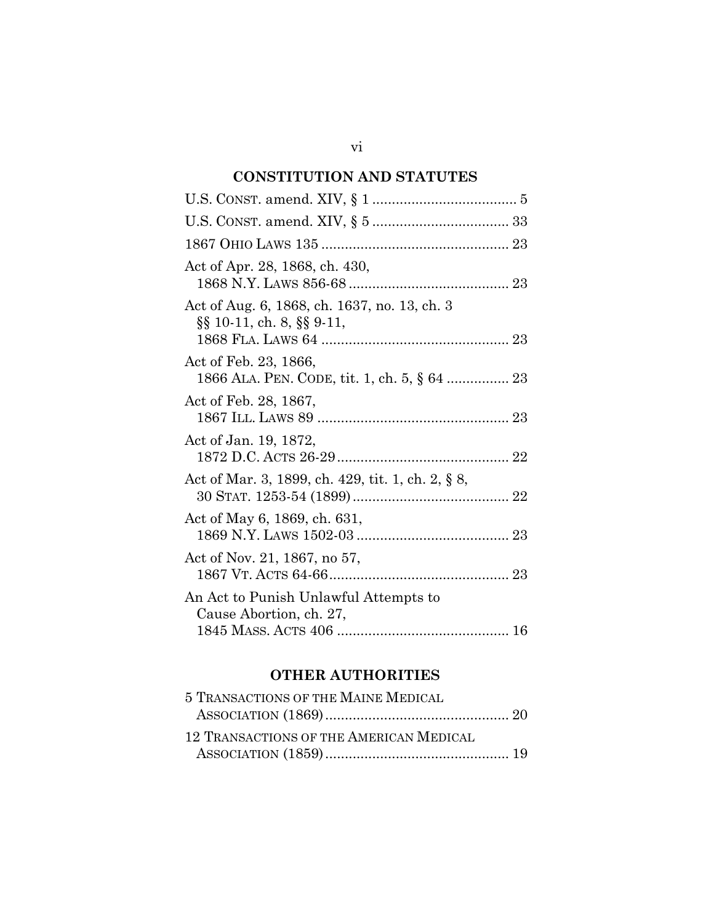# **CONSTITUTION AND STATUTES**

| Act of Apr. 28, 1868, ch. 430,                                                      |
|-------------------------------------------------------------------------------------|
| Act of Aug. 6, 1868, ch. 1637, no. 13, ch. 3<br>$\S\S 10-11$ , ch. 8, $\S\S 9-11$ , |
| Act of Feb. 23, 1866,<br>1866 ALA. PEN. CODE, tit. 1, ch. 5, § 64  23               |
| Act of Feb. 28, 1867,                                                               |
| Act of Jan. 19, 1872,                                                               |
| Act of Mar. 3, 1899, ch. 429, tit. 1, ch. 2, § 8,                                   |
| Act of May 6, 1869, ch. 631,                                                        |
| Act of Nov. 21, 1867, no 57,                                                        |
| An Act to Punish Unlawful Attempts to<br>Cause Abortion, ch. 27,                    |
|                                                                                     |

## **OTHER AUTHORITIES**

| 5 TRANSACTIONS OF THE MAINE MEDICAL     |  |
|-----------------------------------------|--|
|                                         |  |
| 12 TRANSACTIONS OF THE AMERICAN MEDICAL |  |
|                                         |  |
|                                         |  |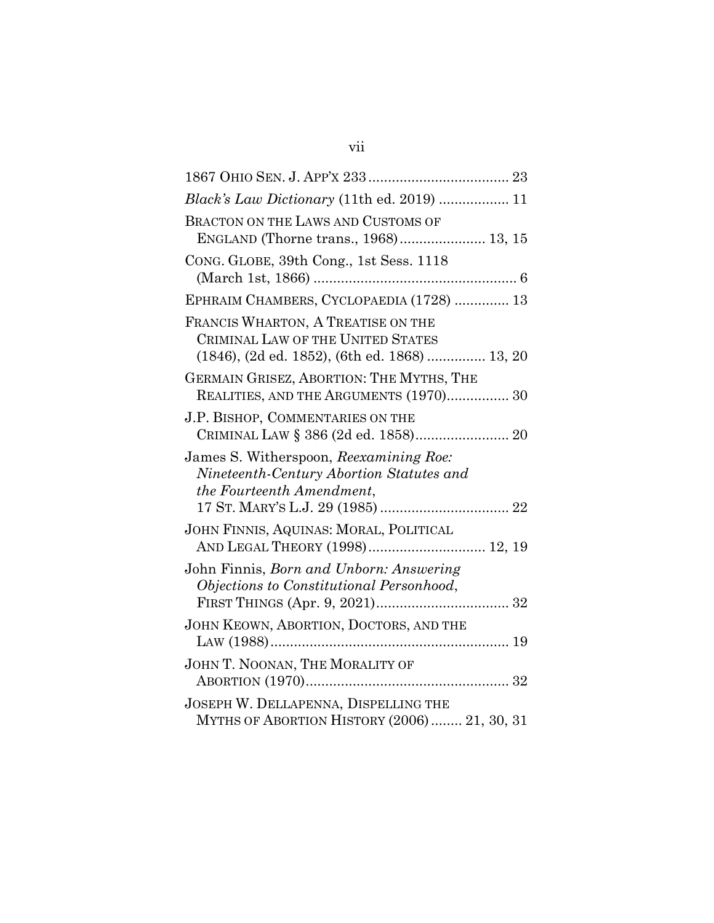| <i>Black's Law Dictionary</i> (11th ed. 2019)  11                                                                        |
|--------------------------------------------------------------------------------------------------------------------------|
| BRACTON ON THE LAWS AND CUSTOMS OF<br>ENGLAND (Thorne trans., 1968) 13, 15                                               |
| CONG. GLOBE, 39th Cong., 1st Sess. 1118                                                                                  |
| EPHRAIM CHAMBERS, CYCLOPAEDIA (1728)  13                                                                                 |
| FRANCIS WHARTON, A TREATISE ON THE<br>CRIMINAL LAW OF THE UNITED STATES<br>(1846), (2d ed. 1852), (6th ed. 1868)  13, 20 |
| GERMAIN GRISEZ, ABORTION: THE MYTHS, THE<br>REALITIES, AND THE ARGUMENTS (1970) 30                                       |
| J.P. BISHOP, COMMENTARIES ON THE<br>CRIMINAL LAW § 386 (2d ed. 1858) 20                                                  |
| James S. Witherspoon, Reexamining Roe:<br>Nineteenth-Century Abortion Statutes and<br>the Fourteenth Amendment,          |
| JOHN FINNIS, AQUINAS: MORAL, POLITICAL<br>AND LEGAL THEORY (1998) 12, 19                                                 |
| John Finnis, Born and Unborn: Answering<br>Objections to Constitutional Personhood,                                      |
| JOHN KEOWN, ABORTION, DOCTORS, AND THE                                                                                   |
| JOHN T. NOONAN, THE MORALITY OF                                                                                          |
| JOSEPH W. DELLAPENNA, DISPELLING THE<br>MYTHS OF ABORTION HISTORY (2006)  21, 30, 31                                     |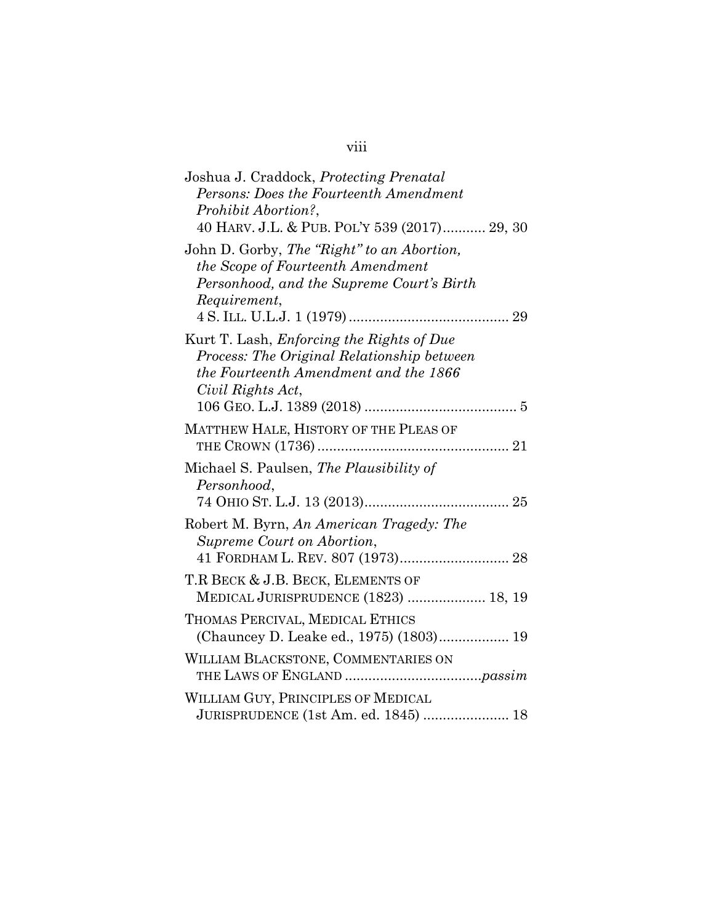| Joshua J. Craddock, Protecting Prenatal                                                                                                                      |  |
|--------------------------------------------------------------------------------------------------------------------------------------------------------------|--|
| Persons: Does the Fourteenth Amendment                                                                                                                       |  |
| Prohibit Abortion?,                                                                                                                                          |  |
| 40 HARV. J.L. & PUB. POL'Y 539 (2017) 29, 30                                                                                                                 |  |
| John D. Gorby, The "Right" to an Abortion,<br>the Scope of Fourteenth Amendment<br>Personhood, and the Supreme Court's Birth<br>Requirement,                 |  |
|                                                                                                                                                              |  |
| Kurt T. Lash, <i>Enforcing the Rights of Due</i><br>Process: The Original Relationship between<br>the Fourteenth Amendment and the 1866<br>Civil Rights Act, |  |
| MATTHEW HALE, HISTORY OF THE PLEAS OF                                                                                                                        |  |
| Michael S. Paulsen, The Plausibility of<br>Personhood,                                                                                                       |  |
| Robert M. Byrn, An American Tragedy: The<br>Supreme Court on Abortion,                                                                                       |  |
| 41 FORDHAM L. REV. 807 (1973) 28                                                                                                                             |  |
| T.R BECK & J.B. BECK, ELEMENTS OF<br>MEDICAL JURISPRUDENCE (1823)  18, 19                                                                                    |  |
| THOMAS PERCIVAL, MEDICAL ETHICS<br>(Chauncey D. Leake ed., 1975) (1803) 19                                                                                   |  |
| WILLIAM BLACKSTONE, COMMENTARIES ON                                                                                                                          |  |
| WILLIAM GUY, PRINCIPLES OF MEDICAL<br>JURISPRUDENCE (1st Am. ed. 1845)  18                                                                                   |  |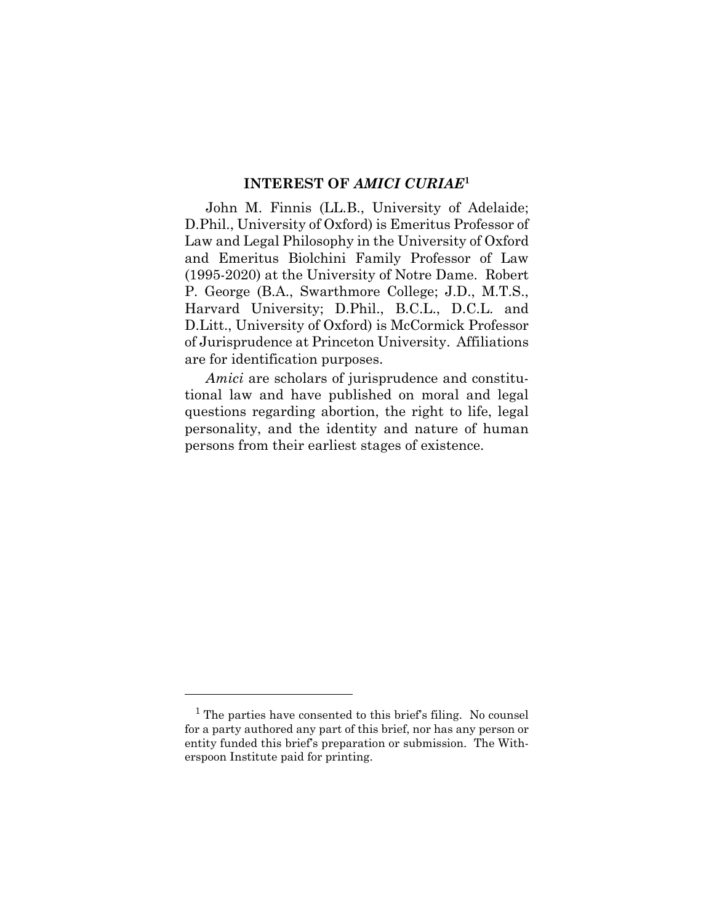## **INTEREST OF** *AMICI CURIAE***<sup>1</sup>**

<span id="page-9-0"></span>John M. Finnis (LL.B., University of Adelaide; D.Phil., University of Oxford) is Emeritus Professor of Law and Legal Philosophy in the University of Oxford and Emeritus Biolchini Family Professor of Law (1995-2020) at the University of Notre Dame. Robert P. George (B.A., Swarthmore College; J.D., M.T.S., Harvard University; D.Phil., B.C.L., D.C.L. and D.Litt., University of Oxford) is McCormick Professor of Jurisprudence at Princeton University. Affiliations are for identification purposes.

*Amici* are scholars of jurisprudence and constitutional law and have published on moral and legal questions regarding abortion, the right to life, legal personality, and the identity and nature of human persons from their earliest stages of existence.

<sup>&</sup>lt;sup>1</sup> The parties have consented to this brief's filing. No counsel for a party authored any part of this brief, nor has any person or entity funded this brief's preparation or submission. The Witherspoon Institute paid for printing.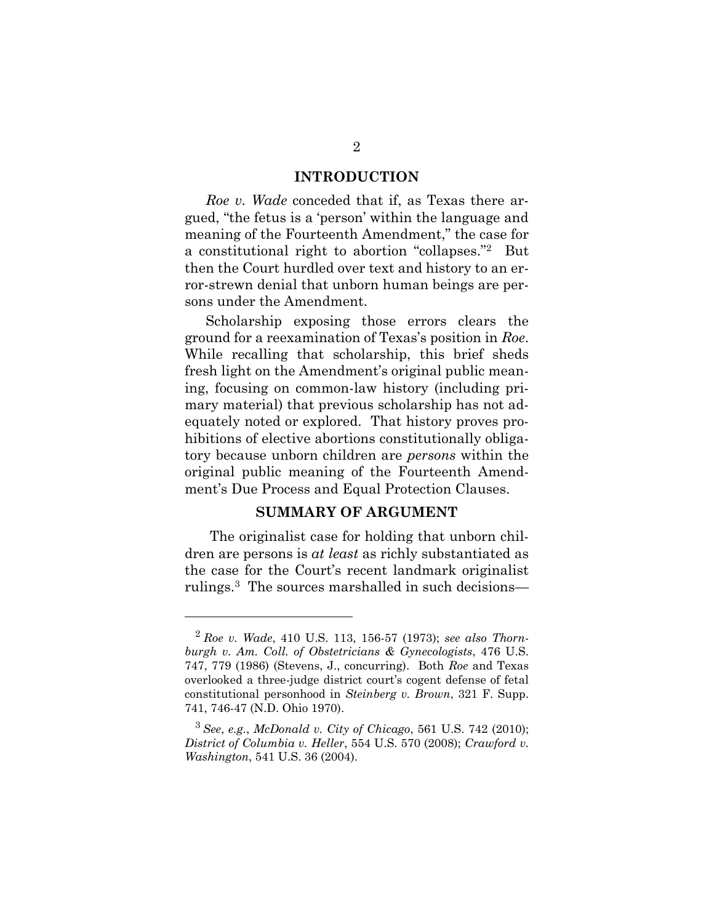#### **INTRODUCTION**

<span id="page-10-0"></span>*Roe v. Wade* conceded that if, as Texas there argued, "the fetus is a 'person' within the language and meaning of the Fourteenth Amendment," the case for a constitutional right to abortion "collapses."<sup>2</sup> But then the Court hurdled over text and history to an error-strewn denial that unborn human beings are persons under the Amendment.

Scholarship exposing those errors clears the ground for a reexamination of Texas's position in *Roe*. While recalling that scholarship, this brief sheds fresh light on the Amendment's original public meaning, focusing on common-law history (including primary material) that previous scholarship has not adequately noted or explored. That history proves prohibitions of elective abortions constitutionally obligatory because unborn children are *persons* within the original public meaning of the Fourteenth Amendment's Due Process and Equal Protection Clauses.

## **SUMMARY OF ARGUMENT**

<span id="page-10-1"></span>The originalist case for holding that unborn children are persons is *at least* as richly substantiated as the case for the Court's recent landmark originalist rulings.<sup>3</sup> The sources marshalled in such decisions—

<sup>2</sup> *Roe v. Wade*, 410 U.S. 113, 156-57 (1973); *see also Thornburgh v. Am. Coll. of Obstetricians & Gynecologists*, 476 U.S. 747, 779 (1986) (Stevens, J., concurring). Both *Roe* and Texas overlooked a three-judge district court's cogent defense of fetal constitutional personhood in *Steinberg v. Brown*, 321 F. Supp. 741, 746-47 (N.D. Ohio 1970).

<sup>3</sup> *See*, *e.g.*, *McDonald v. City of Chicago*, 561 U.S. 742 (2010); *District of Columbia v. Heller*, 554 U.S. 570 (2008); *Crawford v. Washington*, 541 U.S. 36 (2004).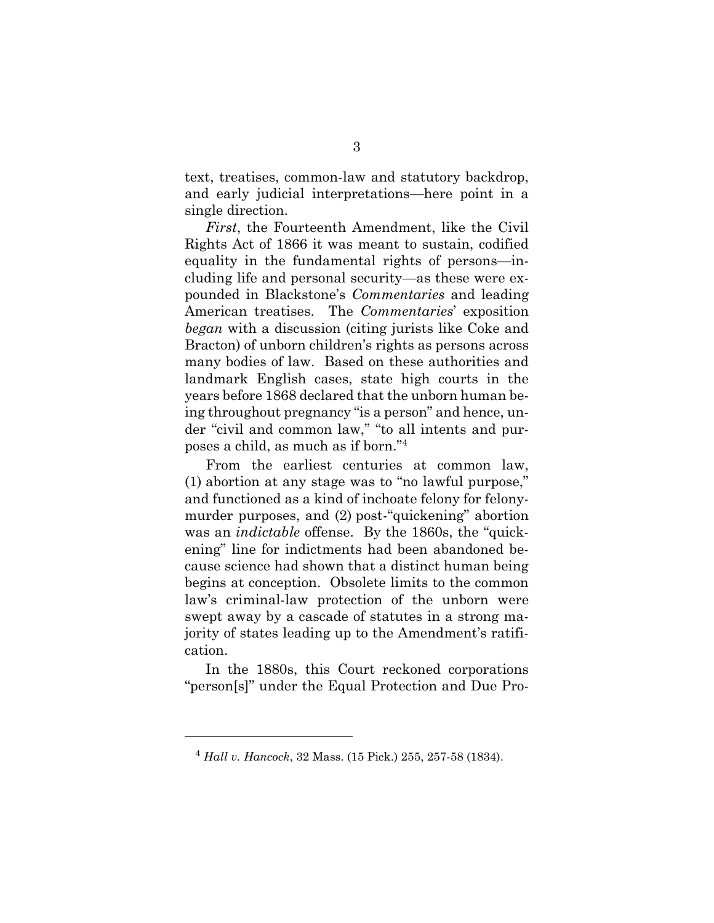text, treatises, common-law and statutory backdrop, and early judicial interpretations—here point in a single direction.

*First*, the Fourteenth Amendment, like the Civil Rights Act of 1866 it was meant to sustain, codified equality in the fundamental rights of persons—including life and personal security—as these were expounded in Blackstone's *Commentaries* and leading American treatises. The *Commentaries*' exposition *began* with a discussion (citing jurists like Coke and Bracton) of unborn children's rights as persons across many bodies of law. Based on these authorities and landmark English cases, state high courts in the years before 1868 declared that the unborn human being throughout pregnancy "is a person" and hence, under "civil and common law," "to all intents and purposes a child, as much as if born."<sup>4</sup>

From the earliest centuries at common law, (1) abortion at any stage was to "no lawful purpose," and functioned as a kind of inchoate felony for felonymurder purposes, and (2) post-"quickening" abortion was an *indictable* offense. By the 1860s, the "quickening" line for indictments had been abandoned because science had shown that a distinct human being begins at conception. Obsolete limits to the common law's criminal-law protection of the unborn were swept away by a cascade of statutes in a strong majority of states leading up to the Amendment's ratification.

In the 1880s, this Court reckoned corporations "person[s]" under the Equal Protection and Due Pro-

<sup>4</sup> *Hall v. Hancock*, 32 Mass. (15 Pick.) 255, 257-58 (1834).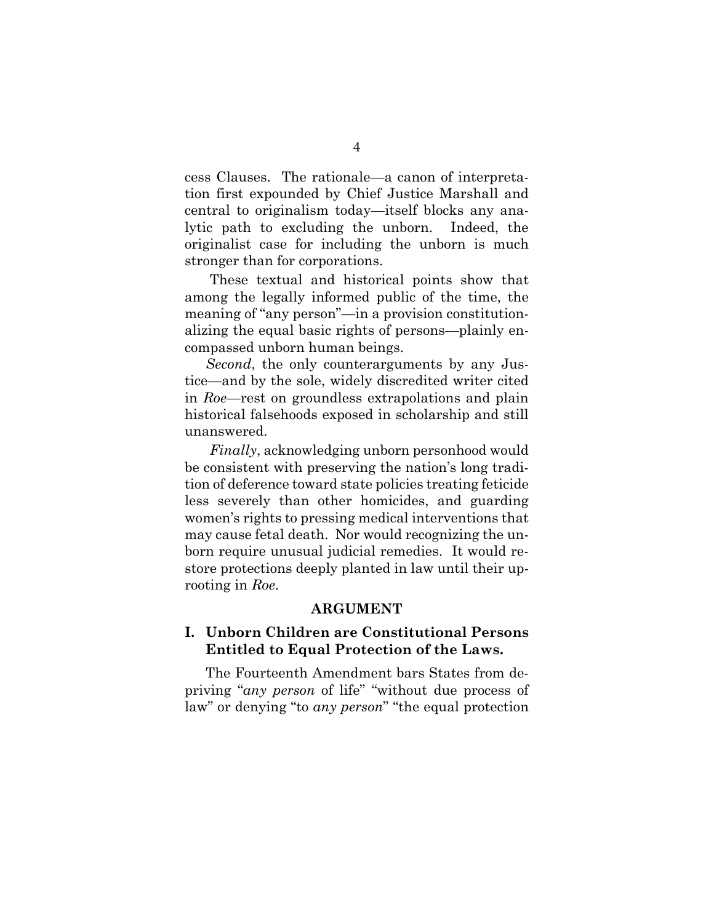cess Clauses. The rationale—a canon of interpretation first expounded by Chief Justice Marshall and central to originalism today—itself blocks any analytic path to excluding the unborn. Indeed, the originalist case for including the unborn is much stronger than for corporations.

These textual and historical points show that among the legally informed public of the time, the meaning of "any person"—in a provision constitutionalizing the equal basic rights of persons—plainly encompassed unborn human beings.

*Second*, the only counterarguments by any Justice—and by the sole, widely discredited writer cited in *Roe—*rest on groundless extrapolations and plain historical falsehoods exposed in scholarship and still unanswered.

*Finally*, acknowledging unborn personhood would be consistent with preserving the nation's long tradition of deference toward state policies treating feticide less severely than other homicides, and guarding women's rights to pressing medical interventions that may cause fetal death. Nor would recognizing the unborn require unusual judicial remedies. It would restore protections deeply planted in law until their uprooting in *Roe*.

#### **ARGUMENT**

## <span id="page-12-1"></span><span id="page-12-0"></span>**I. Unborn Children are Constitutional Persons Entitled to Equal Protection of the Laws.**

The Fourteenth Amendment bars States from depriving "*any person* of life" "without due process of law" or denying "to *any person*" "the equal protection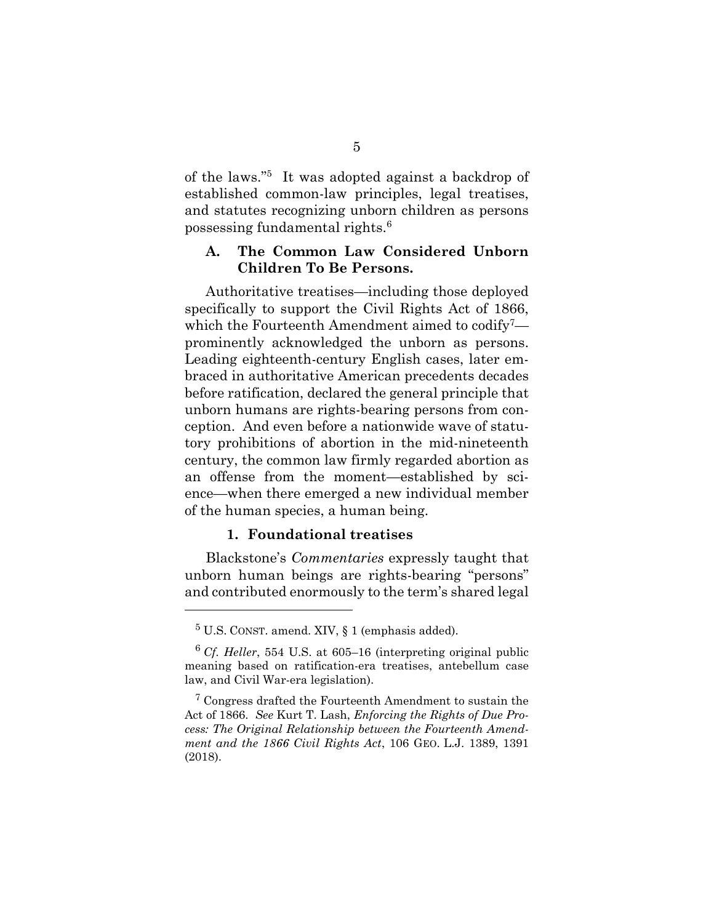of the laws."<sup>5</sup> It was adopted against a backdrop of established common-law principles, legal treatises, and statutes recognizing unborn children as persons possessing fundamental rights.<sup>6</sup>

## <span id="page-13-0"></span>**A. The Common Law Considered Unborn Children To Be Persons.**

Authoritative treatises—including those deployed specifically to support the Civil Rights Act of 1866, which the Fourteenth Amendment aimed to codify<sup>7</sup> prominently acknowledged the unborn as persons. Leading eighteenth-century English cases, later embraced in authoritative American precedents decades before ratification, declared the general principle that unborn humans are rights-bearing persons from conception. And even before a nationwide wave of statutory prohibitions of abortion in the mid-nineteenth century, the common law firmly regarded abortion as an offense from the moment—established by science—when there emerged a new individual member of the human species, a human being.

#### **1. Foundational treatises**

<span id="page-13-1"></span>Blackstone's *Commentaries* expressly taught that unborn human beings are rights-bearing "persons" and contributed enormously to the term's shared legal

 ${}^{5}$  U.S. CONST. amend. XIV,  $\S$  1 (emphasis added).

<sup>6</sup> *Cf. Heller*, 554 U.S. at 605–16 (interpreting original public meaning based on ratification-era treatises, antebellum case law, and Civil War-era legislation).

<sup>7</sup> Congress drafted the Fourteenth Amendment to sustain the Act of 1866. *See* Kurt T. Lash, *Enforcing the Rights of Due Process: The Original Relationship between the Fourteenth Amendment and the 1866 Civil Rights Act*, 106 GEO. L.J. 1389, 1391 (2018).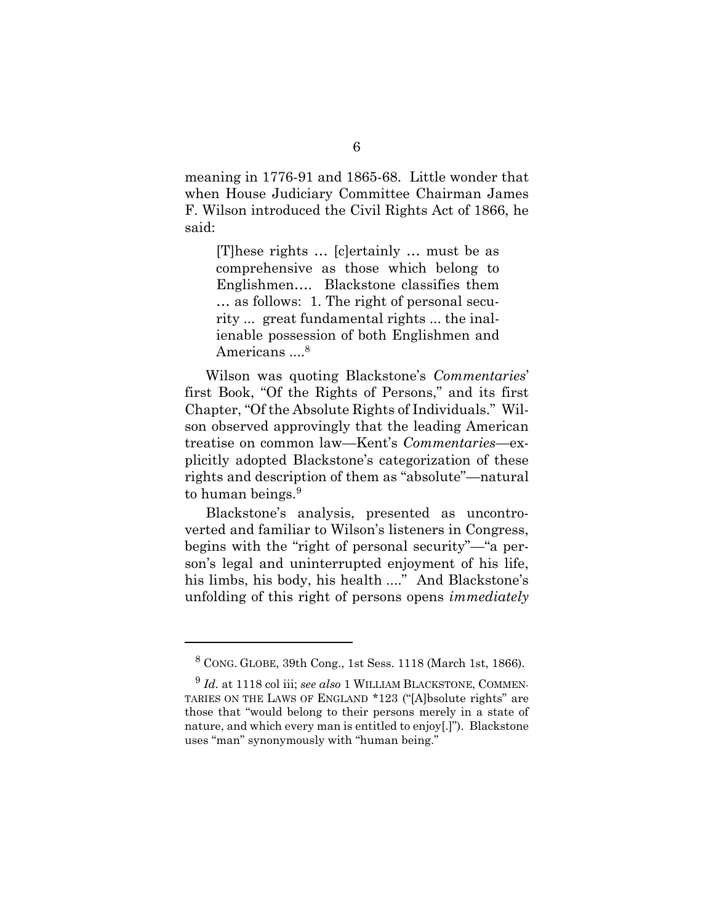meaning in 1776-91 and 1865-68. Little wonder that when House Judiciary Committee Chairman James F. Wilson introduced the Civil Rights Act of 1866, he said:

[T]hese rights … [c]ertainly … must be as comprehensive as those which belong to Englishmen…. Blackstone classifies them … as follows: 1. The right of personal security ... great fundamental rights ... the inalienable possession of both Englishmen and Americans ....<sup>8</sup>

Wilson was quoting Blackstone's *Commentaries*' first Book, "Of the Rights of Persons," and its first Chapter, "Of the Absolute Rights of Individuals." Wilson observed approvingly that the leading American treatise on common law—Kent's *Commentaries*—explicitly adopted Blackstone's categorization of these rights and description of them as "absolute"—natural to human beings.<sup>9</sup>

<span id="page-14-0"></span>Blackstone's analysis, presented as uncontroverted and familiar to Wilson's listeners in Congress, begins with the "right of personal security"—"a person's legal and uninterrupted enjoyment of his life, his limbs, his body, his health ...." And Blackstone's unfolding of this right of persons opens *immediately* 

<sup>8</sup> CONG. GLOBE, 39th Cong., 1st Sess. 1118 (March 1st, 1866).

<sup>9</sup> *Id.* at 1118 col iii; *see also* 1 WILLIAM BLACKSTONE, COMMEN-TARIES ON THE LAWS OF ENGLAND \*123 ("[A]bsolute rights" are those that "would belong to their persons merely in a state of nature, and which every man is entitled to enjoy[.]"). Blackstone uses "man" synonymously with "human being."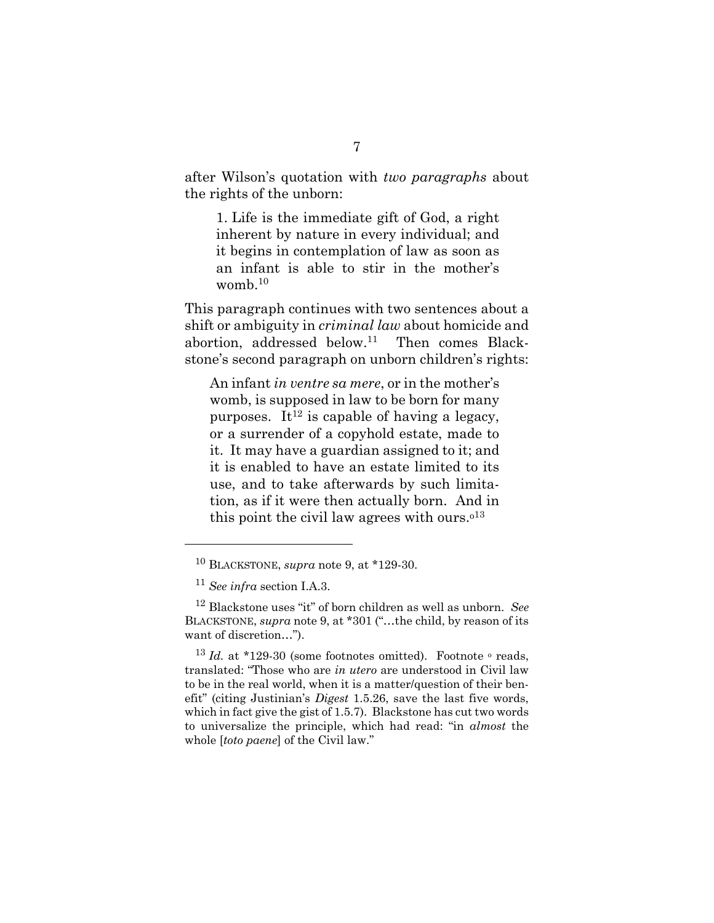after Wilson's quotation with *two paragraphs* about the rights of the unborn:

1. Life is the immediate gift of God, a right inherent by nature in every individual; and it begins in contemplation of law as soon as an infant is able to stir in the mother's womb. $^{10}$ 

This paragraph continues with two sentences about a shift or ambiguity in *criminal law* about homicide and abortion, addressed below.<sup>11</sup> Then comes Blackstone's second paragraph on unborn children's rights:

An infant *in ventre sa mere*, or in the mother's womb, is supposed in law to be born for many purposes. It<sup>12</sup> is capable of having a legacy, or a surrender of a copyhold estate, made to it. It may have a guardian assigned to it; and it is enabled to have an estate limited to its use, and to take afterwards by such limitation, as if it were then actually born. And in this point the civil law agrees with ours.<sup> $013$ </sup>

l

<sup>10</sup> BLACKSTONE, *supra* note [9,](#page-14-0) at \*129-30.

<sup>11</sup> *See infra* section I.A.3.

<sup>12</sup> Blackstone uses "it" of born children as well as unborn. *See* BLACKSTONE, *supra* note [9](#page-14-0), at \*301 ("…the child, by reason of its want of discretion…").

 $13$  *Id.* at \*129-30 (some footnotes omitted). Footnote  $\circ$  reads, translated: "Those who are *in utero* are understood in Civil law to be in the real world, when it is a matter/question of their benefit" (citing Justinian's *Digest* 1.5.26, save the last five words, which in fact give the gist of 1.5.7). Blackstone has cut two words to universalize the principle, which had read: "in *almost* the whole [*toto paene*] of the Civil law."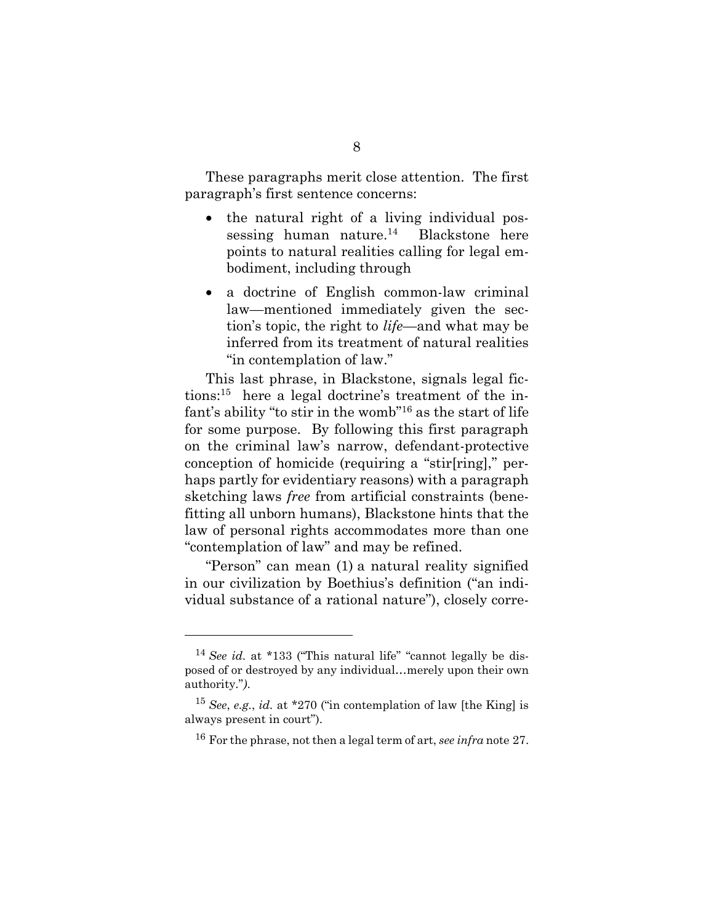These paragraphs merit close attention. The first paragraph's first sentence concerns:

- the natural right of a living individual possessing human nature.<sup>14</sup> Blackstone here points to natural realities calling for legal embodiment, including through
- a doctrine of English common-law criminal law—mentioned immediately given the section's topic, the right to *life*—and what may be inferred from its treatment of natural realities "in contemplation of law."

This last phrase, in Blackstone, signals legal fictions:<sup>15</sup> here a legal doctrine's treatment of the infant's ability "to stir in the womb"<sup>16</sup> as the start of life for some purpose. By following this first paragraph on the criminal law's narrow, defendant-protective conception of homicide (requiring a "stir[ring]," perhaps partly for evidentiary reasons) with a paragraph sketching laws *free* from artificial constraints (benefitting all unborn humans), Blackstone hints that the law of personal rights accommodates more than one "contemplation of law" and may be refined.

"Person" can mean (1) a natural reality signified in our civilization by Boethius's definition ("an individual substance of a rational nature"), closely corre-

<sup>&</sup>lt;sup>14</sup> *See id.* at \*133 ("This natural life" "cannot legally be disposed of or destroyed by any individual…merely upon their own authority."*)*.

<sup>15</sup> *See*, *e.g.*, *id.* at \*270 ("in contemplation of law [the King] is always present in court").

<sup>16</sup> For the phrase, not then a legal term of art, *see infra* note [27.](#page-20-1)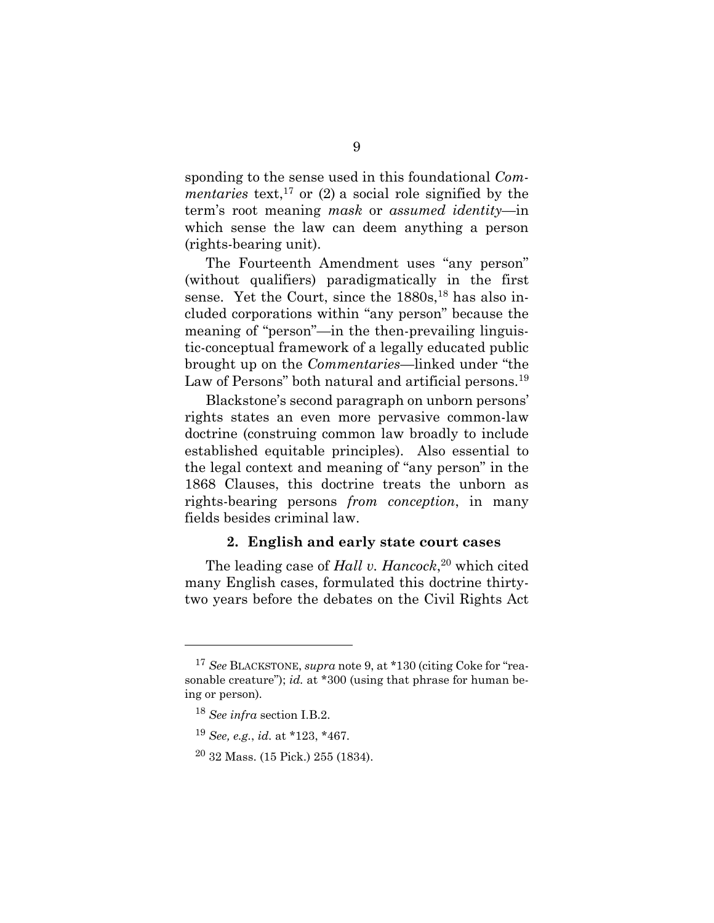sponding to the sense used in this foundational *Commentaries* text,<sup>17</sup> or  $(2)$  a social role signified by the term's root meaning *mask* or *assumed identity*—in which sense the law can deem anything a person (rights-bearing unit).

The Fourteenth Amendment uses "any person" (without qualifiers) paradigmatically in the first sense. Yet the Court, since the  $1880s$ ,<sup>18</sup> has also included corporations within "any person" because the meaning of "person"—in the then-prevailing linguistic-conceptual framework of a legally educated public brought up on the *Commentaries*—linked under "the Law of Persons" both natural and artificial persons.<sup>19</sup>

Blackstone's second paragraph on unborn persons' rights states an even more pervasive common-law doctrine (construing common law broadly to include established equitable principles). Also essential to the legal context and meaning of "any person" in the 1868 Clauses, this doctrine treats the unborn as rights-bearing persons *from conception*, in many fields besides criminal law.

#### **2. English and early state court cases**

<span id="page-17-0"></span>The leading case of *Hall v. Hancock*, <sup>20</sup> which cited many English cases, formulated this doctrine thirtytwo years before the debates on the Civil Rights Act

<sup>17</sup> *See* BLACKSTONE, *supra* not[e 9,](#page-14-0) at \*130 (citing Coke for "reasonable creature"); *id.* at \*300 (using that phrase for human being or person)*.*

<sup>18</sup> *See infra* section I.B.2.

<sup>19</sup> *See, e.g.*, *id.* at \*123, \*467.

 $20$  32 Mass. (15 Pick.) 255 (1834).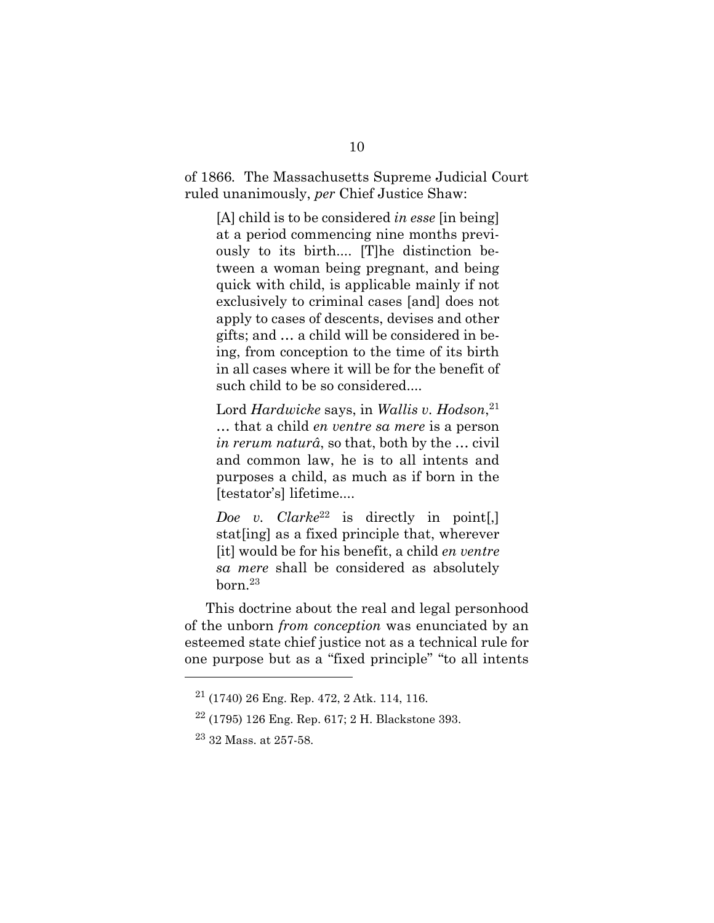of 1866*.* The Massachusetts Supreme Judicial Court ruled unanimously, *per* Chief Justice Shaw:

[A] child is to be considered *in esse* [in being] at a period commencing nine months previously to its birth.... [T]he distinction between a woman being pregnant, and being quick with child, is applicable mainly if not exclusively to criminal cases [and] does not apply to cases of descents, devises and other gifts; and … a child will be considered in being, from conception to the time of its birth in all cases where it will be for the benefit of such child to be so considered....

Lord *Hardwicke* says, in *Wallis v. Hodson*, 21 … that a child *en ventre sa mere* is a person *in rerum naturâ*, so that, both by the … civil and common law, he is to all intents and purposes a child, as much as if born in the [testator's] lifetime....

*Doe v. Clarke*<sup>22</sup> is directly in point[,] stat[ing] as a fixed principle that, wherever [it] would be for his benefit, a child *en ventre sa mere* shall be considered as absolutely born.<sup>23</sup>

This doctrine about the real and legal personhood of the unborn *from conception* was enunciated by an esteemed state chief justice not as a technical rule for one purpose but as a "fixed principle" "to all intents

 $21$  (1740) 26 Eng. Rep. 472, 2 Atk. 114, 116.

 $22$  (1795) 126 Eng. Rep. 617; 2 H. Blackstone 393.

<sup>23</sup> 32 Mass. at 257-58.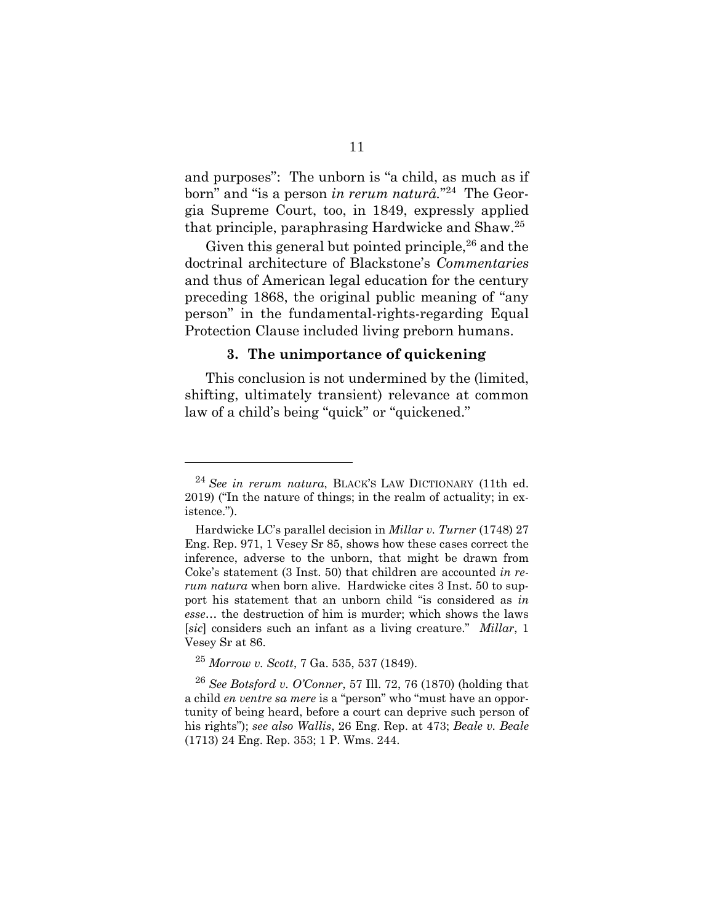and purposes": The unborn is "a child, as much as if born" and "is a person *in rerum naturâ.*" 24 The Georgia Supreme Court, too, in 1849, expressly applied that principle, paraphrasing Hardwicke and Shaw.<sup>25</sup>

Given this general but pointed principle,  $26$  and the doctrinal architecture of Blackstone's *Commentaries* and thus of American legal education for the century preceding 1868, the original public meaning of "any person" in the fundamental-rights-regarding Equal Protection Clause included living preborn humans.

#### **3. The unimportance of quickening**

<span id="page-19-0"></span>This conclusion is not undermined by the (limited, shifting, ultimately transient) relevance at common law of a child's being "quick" or "quickened."

l

<sup>24</sup> *See in rerum natura*, BLACK'S LAW DICTIONARY (11th ed. 2019) ("In the nature of things; in the realm of actuality; in existence.").

Hardwicke LC's parallel decision in *Millar v. Turner* (1748) 27 Eng. Rep. 971, 1 Vesey Sr 85, shows how these cases correct the inference, adverse to the unborn, that might be drawn from Coke's statement (3 Inst. 50) that children are accounted *in rerum natura* when born alive. Hardwicke cites 3 Inst. 50 to support his statement that an unborn child "is considered as *in esse*… the destruction of him is murder; which shows the laws [*sic*] considers such an infant as a living creature." *Millar*, 1 Vesey Sr at 86.

<sup>25</sup> *Morrow v. Scott*, 7 Ga. 535, 537 (1849).

<sup>26</sup> *See Botsford v. O'Conner*, 57 Ill. 72, 76 (1870) (holding that a child *en ventre sa mere* is a "person" who "must have an opportunity of being heard, before a court can deprive such person of his rights"); *see also Wallis*, 26 Eng. Rep. at 473; *Beale v. Beale* (1713) 24 Eng. Rep. 353; 1 P. Wms. 244.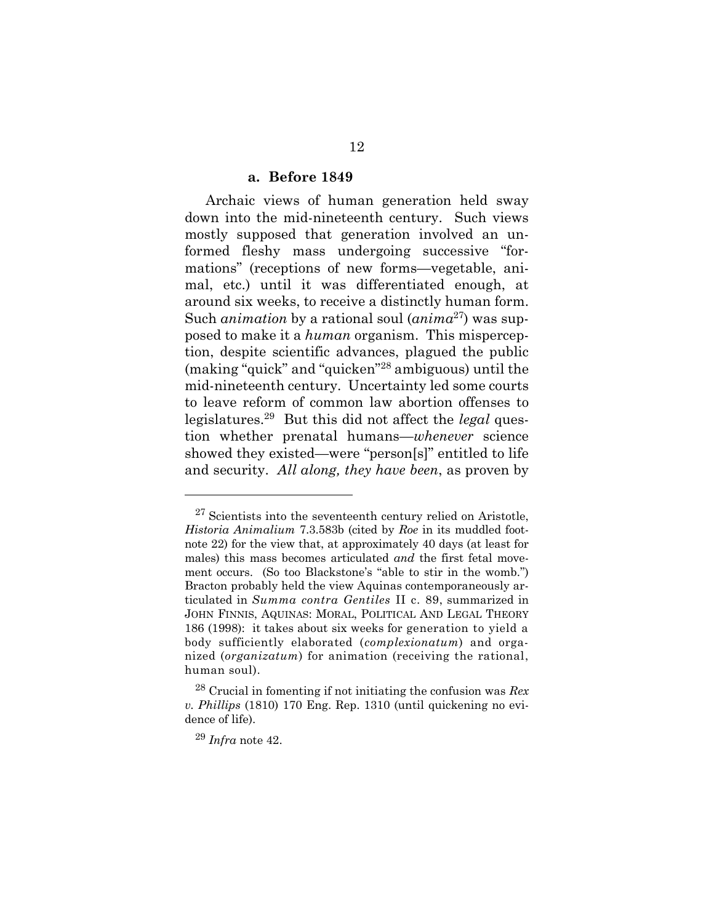#### <span id="page-20-1"></span>**a. Before 1849**

<span id="page-20-0"></span>Archaic views of human generation held sway down into the mid-nineteenth century. Such views mostly supposed that generation involved an unformed fleshy mass undergoing successive "formations" (receptions of new forms—vegetable, animal, etc.) until it was differentiated enough, at around six weeks, to receive a distinctly human form. Such *animation* by a rational soul (*anima*<sup>27</sup>) was supposed to make it a *human* organism. This misperception, despite scientific advances, plagued the public (making "quick" and "quicken"<sup>28</sup> ambiguous) until the mid-nineteenth century. Uncertainty led some courts to leave reform of common law abortion offenses to legislatures.<sup>29</sup> But this did not affect the *legal* question whether prenatal humans—*whenever* science showed they existed—were "person[s]" entitled to life and security. *All along, they have been*, as proven by

l

 $27$  Scientists into the seventeenth century relied on Aristotle, *Historia Animalium* 7.3.583b (cited by *Roe* in its muddled footnote 22) for the view that, at approximately 40 days (at least for males) this mass becomes articulated *and* the first fetal movement occurs. (So too Blackstone's "able to stir in the womb.") Bracton probably held the view Aquinas contemporaneously articulated in *Summa contra Gentiles* II c. 89, summarized in JOHN FINNIS, AQUINAS: MORAL, POLITICAL AND LEGAL THEORY 186 (1998): it takes about six weeks for generation to yield a body sufficiently elaborated (*complexionatum*) and organized (*organizatum*) for animation (receiving the rational, human soul).

<sup>28</sup> Crucial in fomenting if not initiating the confusion was *Rex v. Phillips* (1810) 170 Eng. Rep. 1310 (until quickening no evidence of life).

<sup>29</sup> *Infra* note [42.](#page-25-0)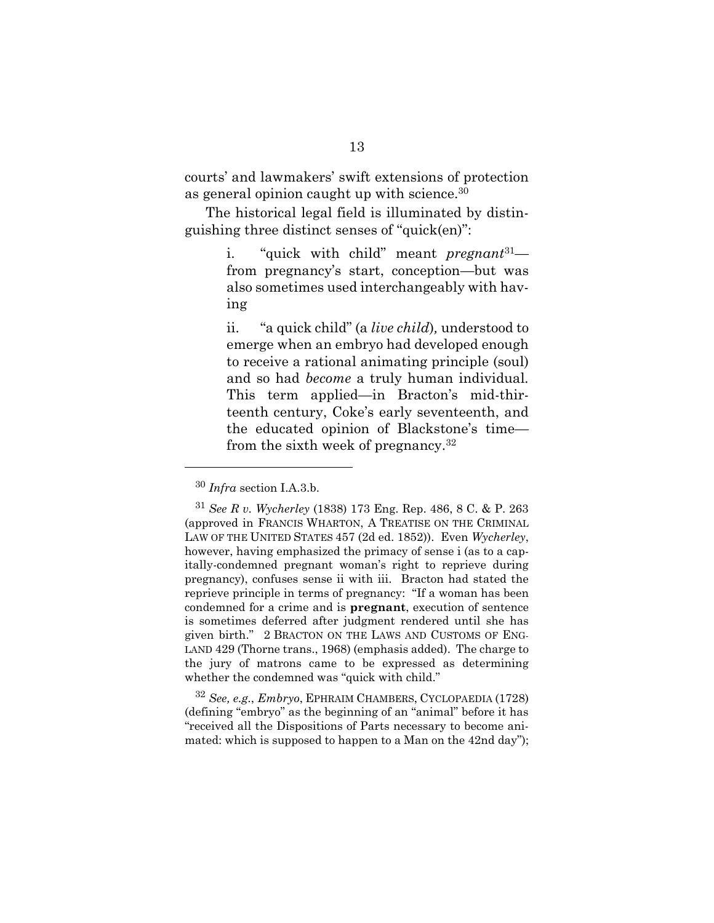courts' and lawmakers' swift extensions of protection as general opinion caught up with science.<sup>30</sup>

The historical legal field is illuminated by distinguishing three distinct senses of "quick(en)":

> <span id="page-21-0"></span>i. "quick with child" meant *pregnant*<sup>31</sup> from pregnancy's start, conception—but was also sometimes used interchangeably with having

> ii. "a quick child" (a *live child*)*,* understood to emerge when an embryo had developed enough to receive a rational animating principle (soul) and so had *become* a truly human individual*.* This term applied—in Bracton's mid-thirteenth century, Coke's early seventeenth, and the educated opinion of Blackstone's time from the sixth week of pregnancy.  $32$

<sup>32</sup> *See, e.g.*, *Embryo*, EPHRAIM CHAMBERS, CYCLOPAEDIA (1728) (defining "embryo" as the beginning of an "animal" before it has "received all the Dispositions of Parts necessary to become animated: which is supposed to happen to a Man on the 42nd day");

<sup>30</sup> *Infra* section I.A.3.b.

<sup>31</sup> *See R v. Wycherley* (1838) 173 Eng. Rep. 486, 8 C. & P. 263 (approved in FRANCIS WHARTON, A TREATISE ON THE CRIMINAL LAW OF THE UNITED STATES 457 (2d ed. 1852)). Even *Wycherley*, however, having emphasized the primacy of sense i (as to a capitally-condemned pregnant woman's right to reprieve during pregnancy), confuses sense ii with iii. Bracton had stated the reprieve principle in terms of pregnancy: "If a woman has been condemned for a crime and is **pregnant**, execution of sentence is sometimes deferred after judgment rendered until she has given birth." 2 BRACTON ON THE LAWS AND CUSTOMS OF ENG-LAND 429 (Thorne trans., 1968) (emphasis added). The charge to the jury of matrons came to be expressed as determining whether the condemned was "quick with child."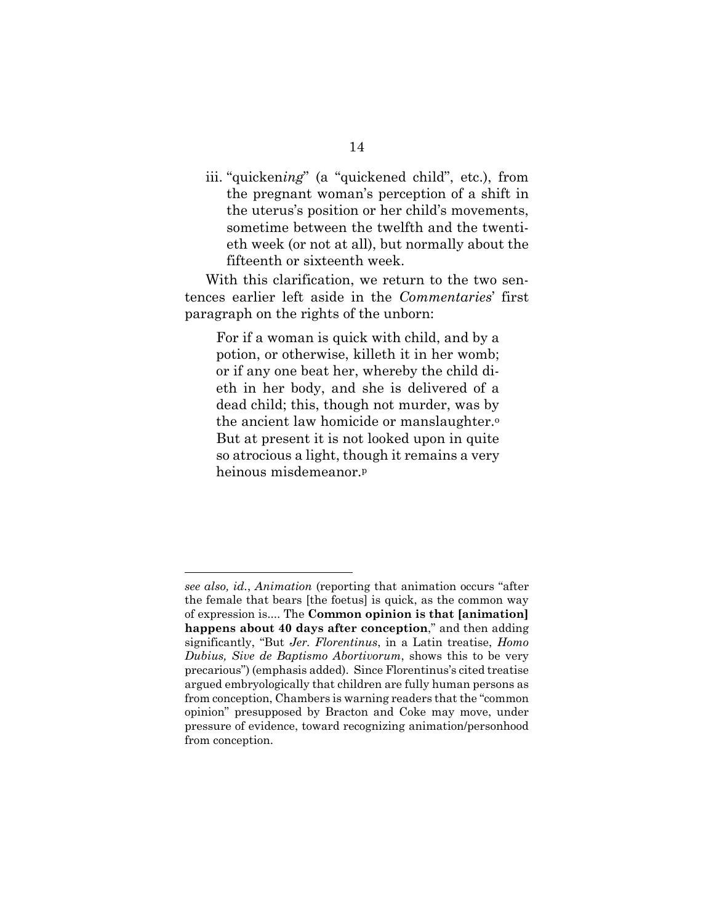iii. "quicken*ing*" (a "quickened child", etc.), from the pregnant woman's perception of a shift in the uterus's position or her child's movements, sometime between the twelfth and the twentieth week (or not at all), but normally about the fifteenth or sixteenth week.

With this clarification, we return to the two sentences earlier left aside in the *Commentaries*' first paragraph on the rights of the unborn:

For if a woman is quick with child, and by a potion, or otherwise, killeth it in her womb; or if any one beat her, whereby the child dieth in her body, and she is delivered of a dead child; this, though not murder, was by the ancient law homicide or manslaughter.<sup>o</sup> But at present it is not looked upon in quite so atrocious a light, though it remains a very heinous misdemeanor.<sup>p</sup>

*see also, id.*, *Animation* (reporting that animation occurs "after the female that bears [the foetus] is quick, as the common way of expression is.... The **Common opinion is that [animation] happens about 40 days after conception**," and then adding significantly, "But *Jer. Florentinus*, in a Latin treatise, *Homo Dubius, Sive de Baptismo Abortivorum*, shows this to be very precarious") (emphasis added). Since Florentinus's cited treatise argued embryologically that children are fully human persons as from conception, Chambers is warning readers that the "common opinion" presupposed by Bracton and Coke may move, under pressure of evidence, toward recognizing animation/personhood from conception.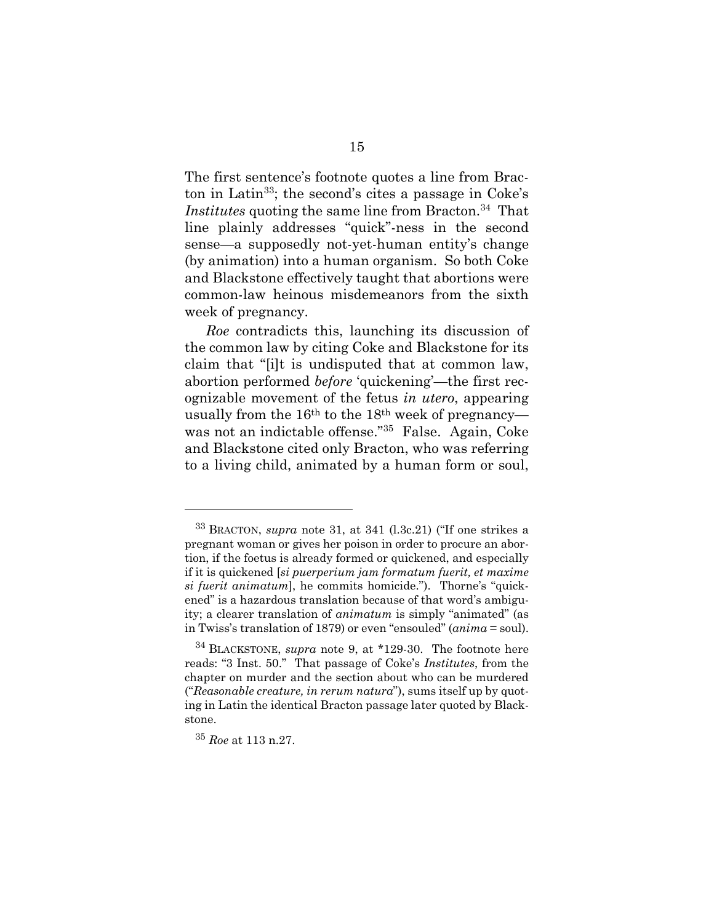The first sentence's footnote quotes a line from Bracton in Latin<sup>33</sup>; the second's cites a passage in Coke's Institutes quoting the same line from Bracton.<sup>34</sup> That line plainly addresses "quick"-ness in the second sense—a supposedly not-yet-human entity's change (by animation) into a human organism. So both Coke and Blackstone effectively taught that abortions were common-law heinous misdemeanors from the sixth week of pregnancy.

*Roe* contradicts this, launching its discussion of the common law by citing Coke and Blackstone for its claim that "[i]t is undisputed that at common law, abortion performed *before* 'quickening'—the first recognizable movement of the fetus *in utero*, appearing usually from the 16th to the 18th week of pregnancy was not an indictable offense."<sup>35</sup> False. Again, Coke and Blackstone cited only Bracton, who was referring to a living child, animated by a human form or soul,

l

<sup>33</sup> BRACTON, *supra* note [31,](#page-21-0) at 341 (l.3c.21) ("If one strikes a pregnant woman or gives her poison in order to procure an abortion, if the foetus is already formed or quickened, and especially if it is quickened [*si puerperium jam formatum fuerit, et maxime si fuerit animatum*], he commits homicide."). Thorne's "quickened" is a hazardous translation because of that word's ambiguity; a clearer translation of *animatum* is simply "animated" (as in Twiss's translation of 1879) or even "ensouled" (*anima* = soul).

<sup>34</sup> BLACKSTONE, *supra* note [9,](#page-14-0) at \*129-30. The footnote here reads: "3 Inst. 50." That passage of Coke's *Institutes*, from the chapter on murder and the section about who can be murdered ("*Reasonable creature, in rerum natura*"), sums itself up by quoting in Latin the identical Bracton passage later quoted by Blackstone.

<sup>35</sup> *Roe* at 113 n.27.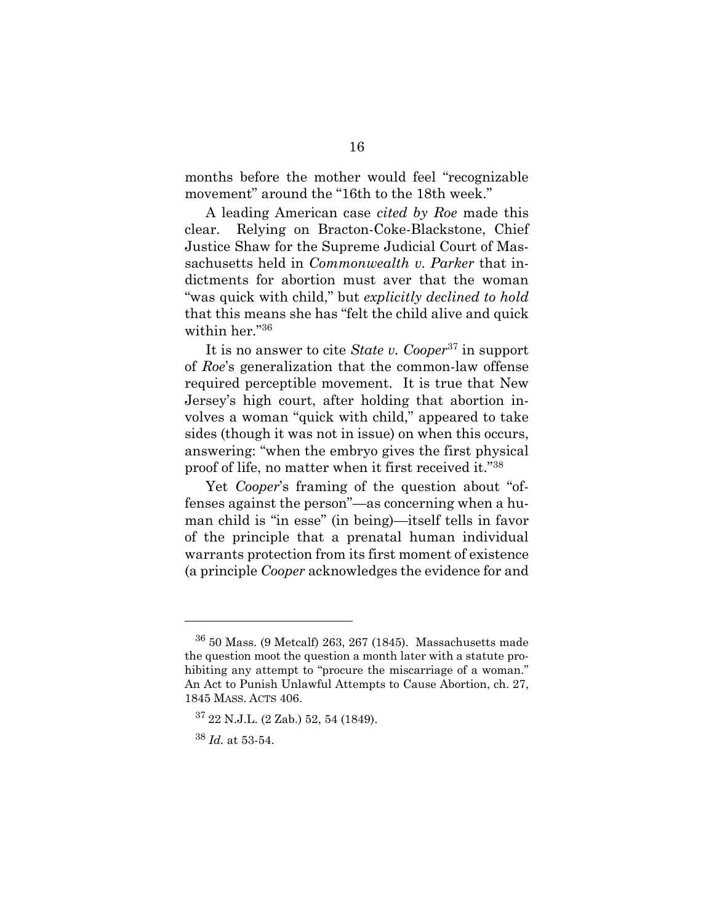months before the mother would feel "recognizable movement" around the "16th to the 18th week."

A leading American case *cited by Roe* made this clear. Relying on Bracton-Coke-Blackstone, Chief Justice Shaw for the Supreme Judicial Court of Massachusetts held in *Commonwealth v. Parker* that indictments for abortion must aver that the woman "was quick with child," but *explicitly declined to hold* that this means she has "felt the child alive and quick within her."<sup>36</sup>

It is no answer to cite *State v. Cooper*<sup>37</sup> in support of *Roe*'s generalization that the common-law offense required perceptible movement. It is true that New Jersey's high court, after holding that abortion involves a woman "quick with child," appeared to take sides (though it was not in issue) on when this occurs, answering: "when the embryo gives the first physical proof of life, no matter when it first received it."<sup>38</sup>

Yet *Cooper*'s framing of the question about "offenses against the person"—as concerning when a human child is "in esse" (in being)—itself tells in favor of the principle that a prenatal human individual warrants protection from its first moment of existence (a principle *Cooper* acknowledges the evidence for and

<sup>36</sup> 50 Mass. (9 Metcalf) 263, 267 (1845). Massachusetts made the question moot the question a month later with a statute prohibiting any attempt to "procure the miscarriage of a woman." An Act to Punish Unlawful Attempts to Cause Abortion, ch. 27, 1845 MASS. ACTS 406.

 $37$  22 N.J.L. (2 Zab.) 52, 54 (1849).

<sup>38</sup> *Id.* at 53-54.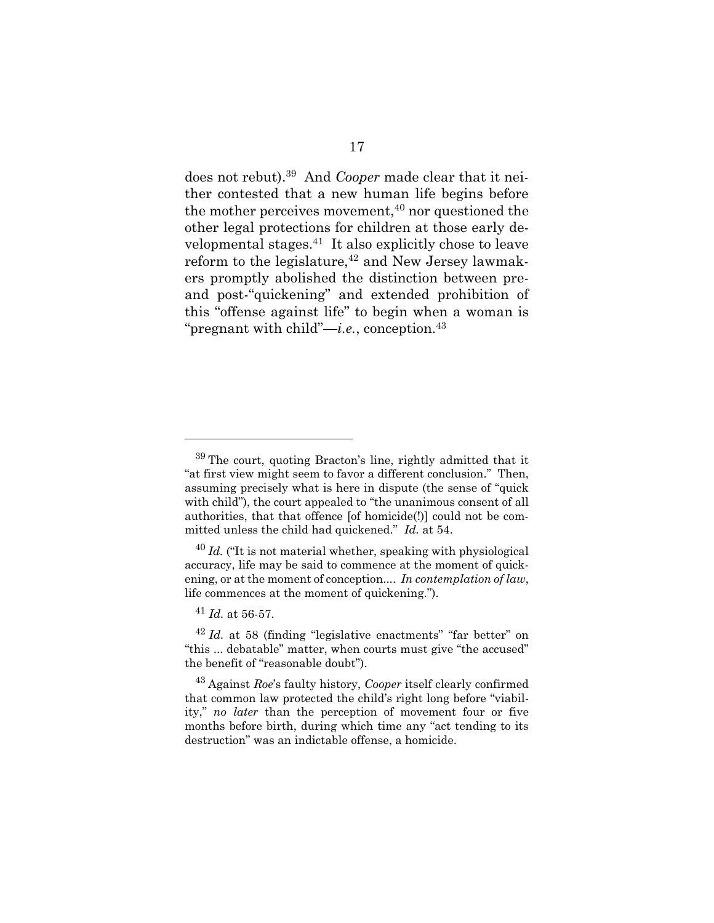<span id="page-25-0"></span>does not rebut).<sup>39</sup> And *Cooper* made clear that it neither contested that a new human life begins before the mother perceives movement, $40$  nor questioned the other legal protections for children at those early developmental stages.<sup>41</sup> It also explicitly chose to leave reform to the legislature, $42$  and New Jersey lawmakers promptly abolished the distinction between preand post-"quickening" and extended prohibition of this "offense against life" to begin when a woman is "pregnant with child"—*i.e.*, conception.<sup>43</sup>

<sup>39</sup> The court, quoting Bracton's line, rightly admitted that it "at first view might seem to favor a different conclusion." Then, assuming precisely what is here in dispute (the sense of "quick with child"), the court appealed to "the unanimous consent of all authorities, that that offence [of homicide(!)] could not be committed unless the child had quickened." *Id.* at 54.

<sup>40</sup> *Id.* ("It is not material whether, speaking with physiological accuracy, life may be said to commence at the moment of quickening, or at the moment of conception.... *In contemplation of law*, life commences at the moment of quickening.").

 $^{41}$  *Id.* at 56-57.

<sup>42</sup> *Id.* at 58 (finding "legislative enactments" "far better" on "this ... debatable" matter, when courts must give "the accused" the benefit of "reasonable doubt").

<sup>43</sup> Against *Roe*'s faulty history, *Cooper* itself clearly confirmed that common law protected the child's right long before "viability," *no later* than the perception of movement four or five months before birth, during which time any "act tending to its destruction" was an indictable offense, a homicide.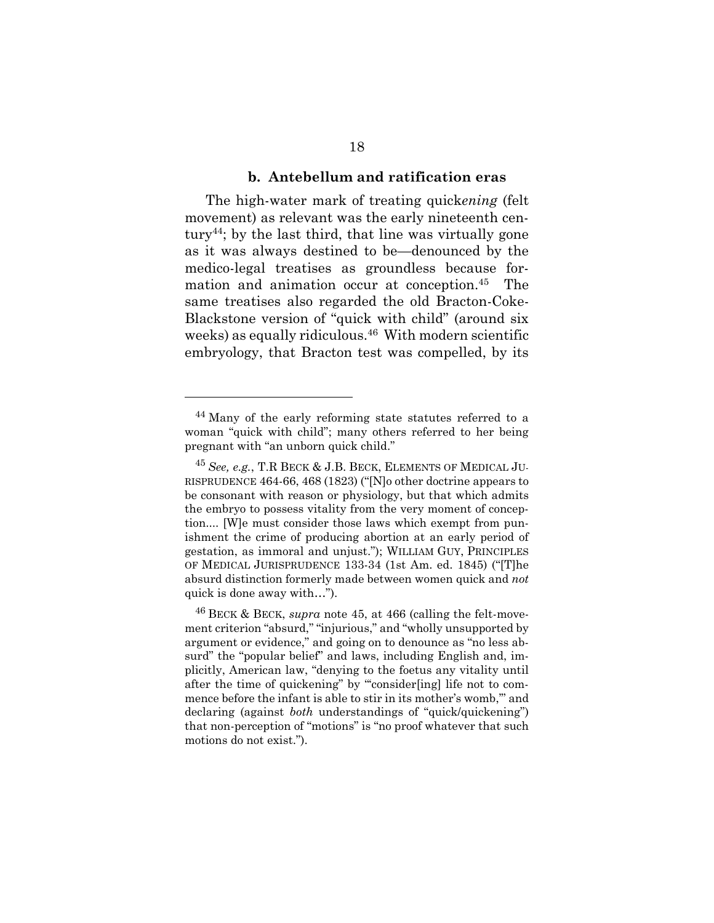#### <span id="page-26-1"></span>**b. Antebellum and ratification eras**

<span id="page-26-0"></span>The high-water mark of treating quick*ening* (felt movement) as relevant was the early nineteenth century<sup>44</sup>; by the last third, that line was virtually gone as it was always destined to be—denounced by the medico-legal treatises as groundless because formation and animation occur at conception.<sup>45</sup> The same treatises also regarded the old Bracton-Coke-Blackstone version of "quick with child" (around six weeks) as equally ridiculous.<sup>46</sup> With modern scientific embryology, that Bracton test was compelled, by its

<sup>&</sup>lt;sup>44</sup> Many of the early reforming state statutes referred to a woman "quick with child"; many others referred to her being pregnant with "an unborn quick child."

<sup>45</sup> *See, e.g.*, T.R BECK & J.B. BECK, ELEMENTS OF MEDICAL JU-RISPRUDENCE 464-66, 468 (1823) ("[N]o other doctrine appears to be consonant with reason or physiology, but that which admits the embryo to possess vitality from the very moment of conception.... [W]e must consider those laws which exempt from punishment the crime of producing abortion at an early period of gestation, as immoral and unjust."); WILLIAM GUY, PRINCIPLES OF MEDICAL JURISPRUDENCE 133-34 (1st Am. ed. 1845) ("[T]he absurd distinction formerly made between women quick and *not* quick is done away with…").

<sup>46</sup> BECK & BECK, *supra* note [45,](#page-26-1) at 466 (calling the felt-movement criterion "absurd," "injurious," and "wholly unsupported by argument or evidence," and going on to denounce as "no less absurd" the "popular belief" and laws, including English and, implicitly, American law, "denying to the foetus any vitality until after the time of quickening" by "'consider[ing] life not to commence before the infant is able to stir in its mother's womb,'" and declaring (against *both* understandings of "quick/quickening") that non-perception of "motions" is "no proof whatever that such motions do not exist.").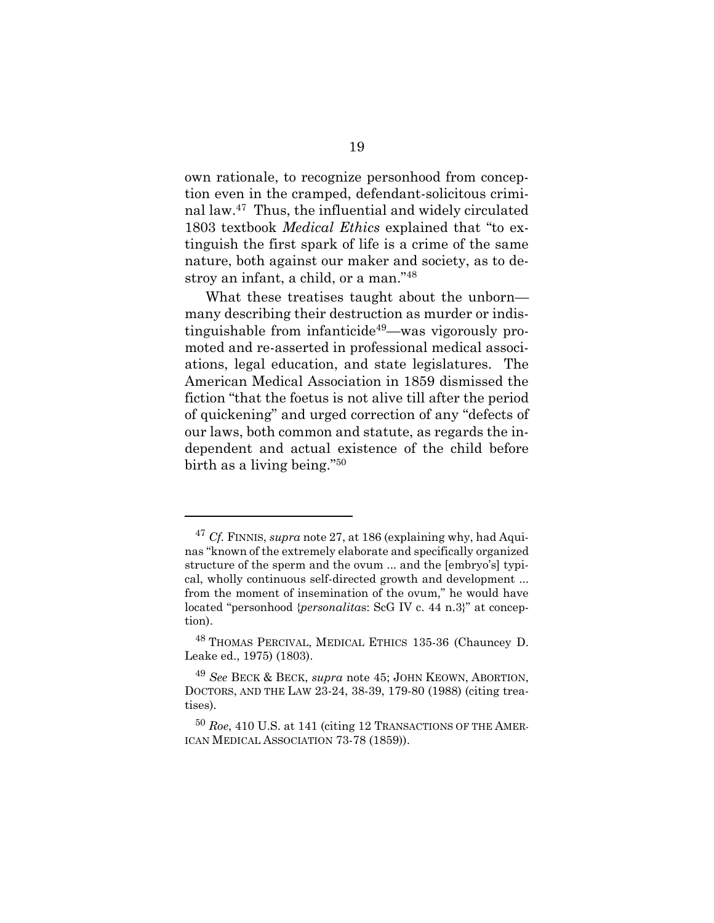own rationale, to recognize personhood from conception even in the cramped, defendant-solicitous criminal law.<sup>47</sup> Thus, the influential and widely circulated 1803 textbook *Medical Ethics* explained that "to extinguish the first spark of life is a crime of the same nature, both against our maker and society, as to destroy an infant, a child, or a man."<sup>48</sup>

What these treatises taught about the unborn many describing their destruction as murder or indistinguishable from infanticide<sup>49</sup>—was vigorously promoted and re-asserted in professional medical associations, legal education, and state legislatures. The American Medical Association in 1859 dismissed the fiction "that the foetus is not alive till after the period of quickening" and urged correction of any "defects of our laws, both common and statute, as regards the independent and actual existence of the child before birth as a living being."<sup>50</sup>

l

<sup>47</sup> *Cf.* FINNIS, *supra* not[e 27,](#page-20-1) at 186 (explaining why, had Aquinas "known of the extremely elaborate and specifically organized structure of the sperm and the ovum ... and the [embryo's] typical, wholly continuous self-directed growth and development ... from the moment of insemination of the ovum," he would have located "personhood {*personalita*s: ScG IV c. 44 n.3}" at conception).

<sup>&</sup>lt;sup>48</sup> THOMAS PERCIVAL, MEDICAL ETHICS 135-36 (Chauncey D. Leake ed., 1975) (1803).

<sup>49</sup> *See* BECK & BECK, *supra* note [45;](#page-26-1) JOHN KEOWN, ABORTION, DOCTORS, AND THE LAW 23-24, 38-39, 179-80 (1988) (citing treatises).

<sup>50</sup> *Roe*, 410 U.S. at 141 (citing 12 TRANSACTIONS OF THE AMER-ICAN MEDICAL ASSOCIATION 73-78 (1859)).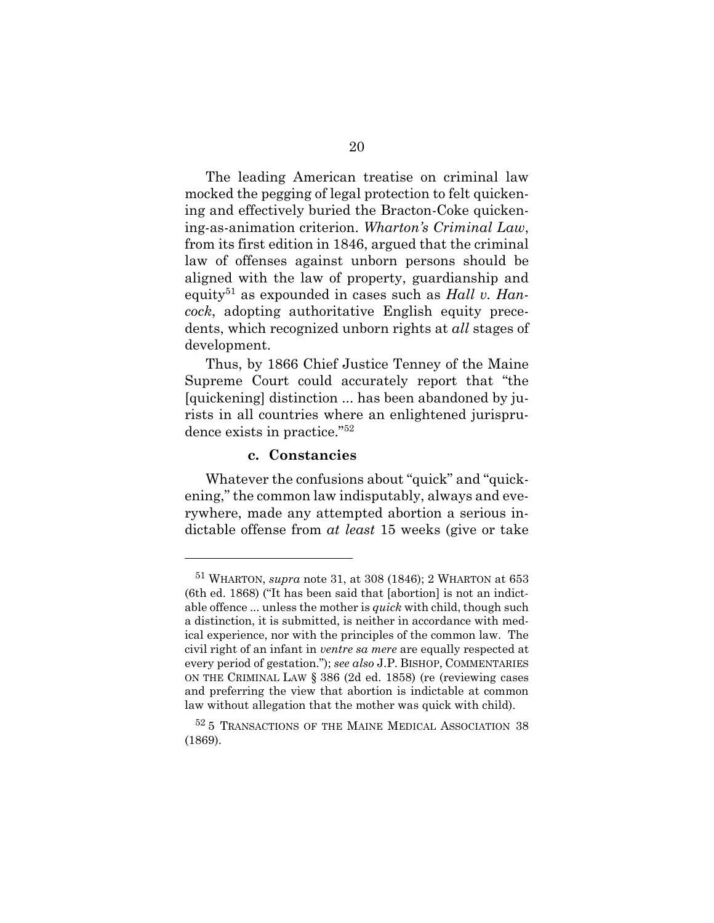The leading American treatise on criminal law mocked the pegging of legal protection to felt quickening and effectively buried the Bracton-Coke quickening-as-animation criterion. *Wharton's Criminal Law*, from its first edition in 1846, argued that the criminal law of offenses against unborn persons should be aligned with the law of property, guardianship and equity<sup>51</sup> as expounded in cases such as *Hall v. Hancock*, adopting authoritative English equity precedents, which recognized unborn rights at *all* stages of development.

Thus, by 1866 Chief Justice Tenney of the Maine Supreme Court could accurately report that "the [quickening] distinction ... has been abandoned by jurists in all countries where an enlightened jurisprudence exists in practice."<sup>52</sup>

#### **c. Constancies**

<span id="page-28-0"></span>Whatever the confusions about "quick" and "quickening," the common law indisputably, always and everywhere, made any attempted abortion a serious indictable offense from *at least* 15 weeks (give or take

<sup>51</sup> WHARTON, *supra* note [31,](#page-21-0) at 308 (1846); 2 WHARTON at 653 (6th ed. 1868) ("It has been said that [abortion] is not an indictable offence ... unless the mother is *quick* with child, though such a distinction, it is submitted, is neither in accordance with medical experience, nor with the principles of the common law. The civil right of an infant in *ventre sa mere* are equally respected at every period of gestation."); *see also* J.P. BISHOP, COMMENTARIES ON THE CRIMINAL LAW § 386 (2d ed. 1858) (re (reviewing cases and preferring the view that abortion is indictable at common law without allegation that the mother was quick with child).

<sup>52</sup> 5 TRANSACTIONS OF THE MAINE MEDICAL ASSOCIATION 38 (1869).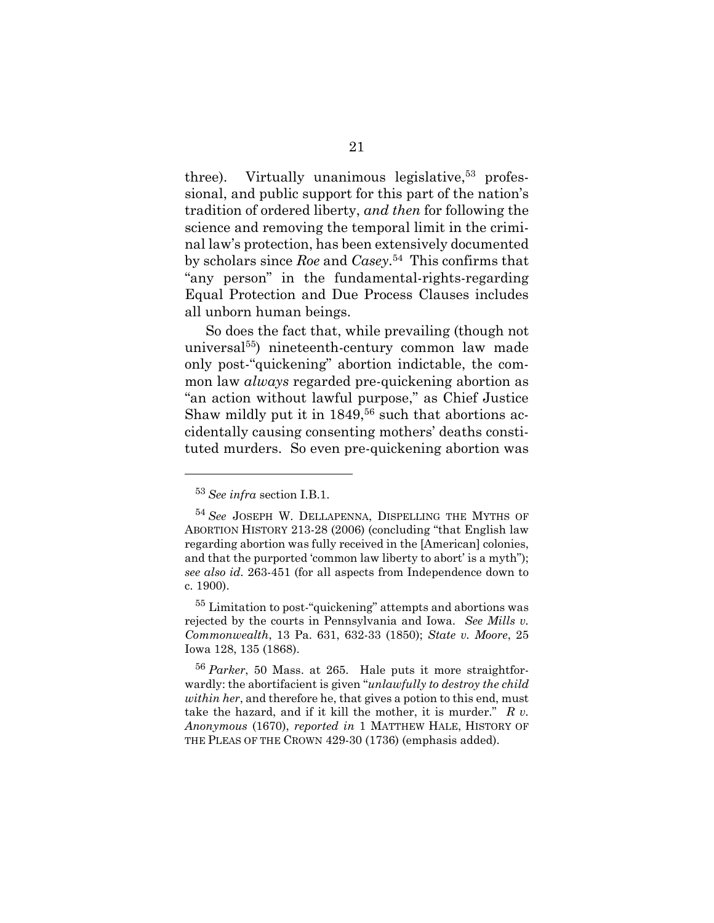three). Virtually unanimous legislative,  $53$  professional, and public support for this part of the nation's tradition of ordered liberty, *and then* for following the science and removing the temporal limit in the criminal law's protection, has been extensively documented by scholars since *Roe* and *Casey*. 54 This confirms that "any person" in the fundamental-rights-regarding Equal Protection and Due Process Clauses includes all unborn human beings.

<span id="page-29-0"></span>So does the fact that, while prevailing (though not universal<sup>55</sup>) nineteenth-century common law made only post-"quickening" abortion indictable, the common law *always* regarded pre-quickening abortion as "an action without lawful purpose," as Chief Justice Shaw mildly put it in  $1849<sup>56</sup>$  such that abortions accidentally causing consenting mothers' deaths constituted murders. So even pre-quickening abortion was

<sup>53</sup> *See infra* section I.B.1.

<sup>54</sup> *See* JOSEPH W. DELLAPENNA, DISPELLING THE MYTHS OF ABORTION HISTORY 213-28 (2006) (concluding "that English law regarding abortion was fully received in the [American] colonies, and that the purported 'common law liberty to abort' is a myth"); *see also id.* 263-451 (for all aspects from Independence down to c. 1900).

<sup>&</sup>lt;sup>55</sup> Limitation to post-"quickening" attempts and abortions was rejected by the courts in Pennsylvania and Iowa. *See Mills v. Commonwealth*, 13 Pa. 631, 632-33 (1850); *State v. Moore*, 25 Iowa 128, 135 (1868).

<sup>56</sup> *Parker*, 50 Mass. at 265. Hale puts it more straightforwardly: the abortifacient is given "*unlawfully to destroy the child within her*, and therefore he, that gives a potion to this end, must take the hazard, and if it kill the mother, it is murder." *R v. Anonymous* (1670), *reported in* 1 MATTHEW HALE, HISTORY OF THE PLEAS OF THE CROWN 429-30 (1736) (emphasis added).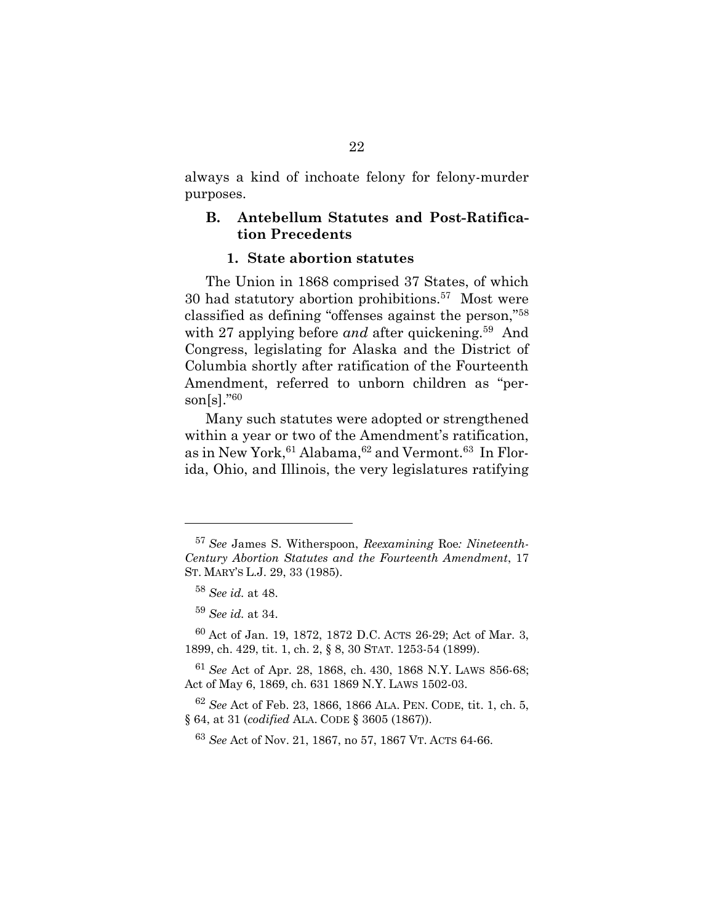always a kind of inchoate felony for felony-murder purposes.

## <span id="page-30-0"></span>**B. Antebellum Statutes and Post-Ratification Precedents**

## **1. State abortion statutes**

<span id="page-30-1"></span>The Union in 1868 comprised 37 States, of which 30 had statutory abortion prohibitions.<sup>57</sup> Most were classified as defining "offenses against the person,"<sup>58</sup> with 27 applying before *and* after quickening.<sup>59</sup> And Congress, legislating for Alaska and the District of Columbia shortly after ratification of the Fourteenth Amendment, referred to unborn children as "person[s]." $60$ 

Many such statutes were adopted or strengthened within a year or two of the Amendment's ratification, as in New York, <sup>61</sup> Alabama, <sup>62</sup> and Vermont. <sup>63</sup> In Florida, Ohio, and Illinois, the very legislatures ratifying

<sup>57</sup> *See* James S. Witherspoon, *Reexamining* Roe*: Nineteenth-Century Abortion Statutes and the Fourteenth Amendment*, 17 ST. MARY'S L.J. 29, 33 (1985).

<sup>58</sup> *See id.* at 48.

<sup>59</sup> *See id.* at 34.

<sup>60</sup> Act of Jan. 19, 1872, 1872 D.C. ACTS 26-29; Act of Mar. 3, 1899, ch. 429, tit. 1, ch. 2, § 8, 30 STAT. 1253-54 (1899).

<sup>61</sup> *See* Act of Apr. 28, 1868, ch. 430, 1868 N.Y. LAWS 856-68; Act of May 6, 1869, ch. 631 1869 N.Y. LAWS 1502-03.

<sup>62</sup> *See* Act of Feb. 23, 1866, 1866 ALA. PEN. CODE, tit. 1, ch. 5, § 64, at 31 (*codified* ALA. CODE § 3605 (1867)).

<sup>63</sup> *See* Act of Nov. 21, 1867, no 57, 1867 VT. ACTS 64-66.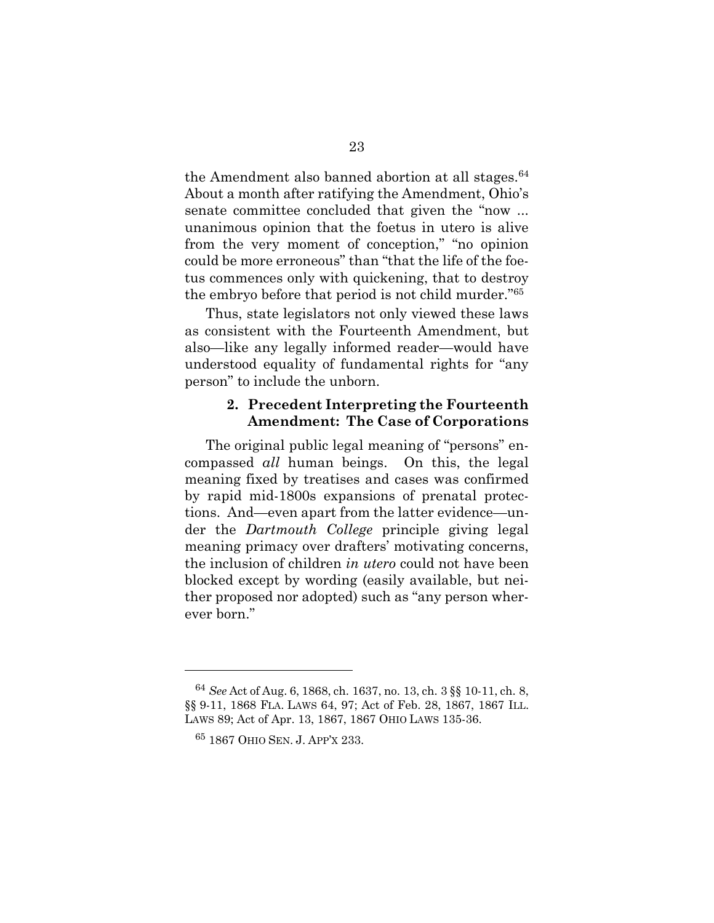the Amendment also banned abortion at all stages.<sup>64</sup> About a month after ratifying the Amendment, Ohio's senate committee concluded that given the "now ... unanimous opinion that the foetus in utero is alive from the very moment of conception," "no opinion could be more erroneous" than "that the life of the foetus commences only with quickening, that to destroy the embryo before that period is not child murder."<sup>65</sup>

Thus, state legislators not only viewed these laws as consistent with the Fourteenth Amendment, but also—like any legally informed reader—would have understood equality of fundamental rights for "any person" to include the unborn.

## <span id="page-31-0"></span>**2. Precedent Interpreting the Fourteenth Amendment: The Case of Corporations**

The original public legal meaning of "persons" encompassed *all* human beings. On this, the legal meaning fixed by treatises and cases was confirmed by rapid mid-1800s expansions of prenatal protections. And—even apart from the latter evidence—under the *Dartmouth College* principle giving legal meaning primacy over drafters' motivating concerns, the inclusion of children *in utero* could not have been blocked except by wording (easily available, but neither proposed nor adopted) such as "any person wherever born."

<sup>64</sup> *See* Act of Aug. 6, 1868, ch. 1637, no. 13, ch. 3 §§ 10-11, ch. 8, §§ 9-11, 1868 FLA. LAWS 64, 97; Act of Feb. 28, 1867, 1867 ILL. LAWS 89; Act of Apr. 13, 1867, 1867 OHIO LAWS 135-36.

<sup>65</sup> 1867 OHIO SEN. J. APP'<sup>X</sup> 233.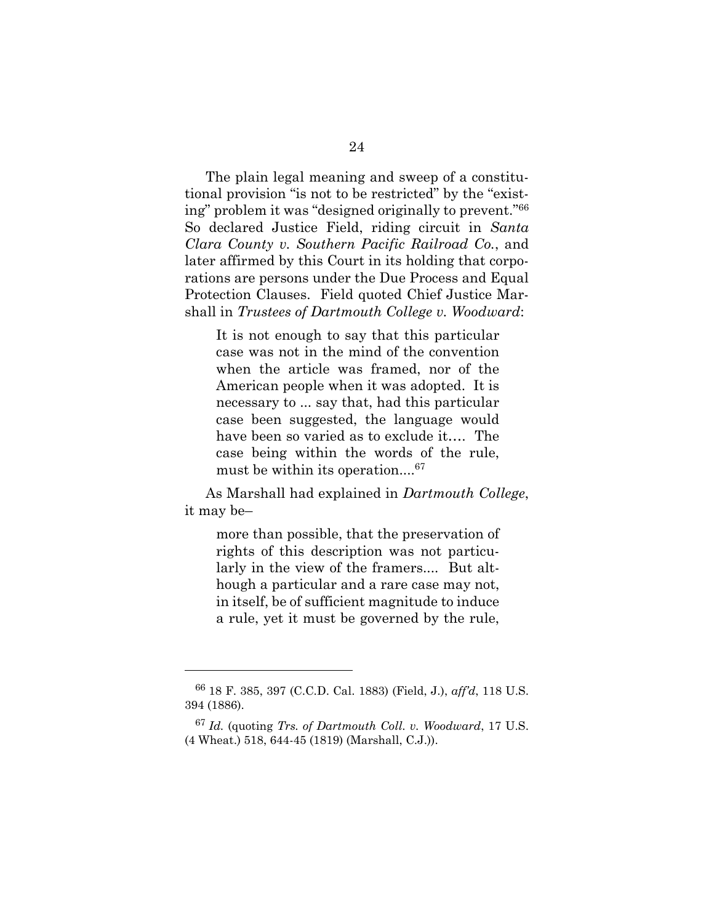The plain legal meaning and sweep of a constitutional provision "is not to be restricted" by the "existing" problem it was "designed originally to prevent."<sup>66</sup> So declared Justice Field, riding circuit in *Santa Clara County v. Southern Pacific Railroad Co.*, and later affirmed by this Court in its holding that corporations are persons under the Due Process and Equal Protection Clauses. Field quoted Chief Justice Marshall in *Trustees of Dartmouth College v. Woodward*:

It is not enough to say that this particular case was not in the mind of the convention when the article was framed, nor of the American people when it was adopted. It is necessary to ... say that, had this particular case been suggested, the language would have been so varied as to exclude it…. The case being within the words of the rule, must be within its operation.... $^{67}$ 

As Marshall had explained in *Dartmouth College*, it may be–

more than possible, that the preservation of rights of this description was not particularly in the view of the framers.... But although a particular and a rare case may not, in itself, be of sufficient magnitude to induce a rule, yet it must be governed by the rule,

<sup>66</sup> 18 F. 385, 397 (C.C.D. Cal. 1883) (Field, J.), *aff'd*, 118 U.S. 394 (1886).

<sup>67</sup> *Id.* (quoting *Trs. of Dartmouth Coll. v. Woodward*, 17 U.S. (4 Wheat.) 518, 644-45 (1819) (Marshall, C.J.)).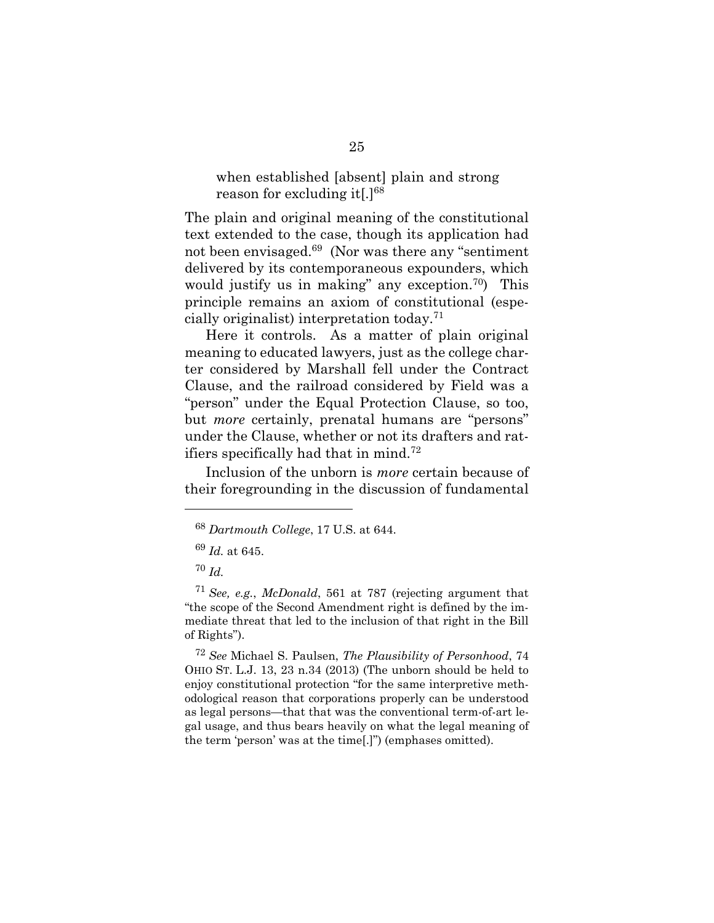## when established [absent] plain and strong reason for excluding it[.]<sup>68</sup>

The plain and original meaning of the constitutional text extended to the case, though its application had not been envisaged.<sup>69</sup> (Nor was there any "sentiment delivered by its contemporaneous expounders, which would justify us in making" any exception.<sup>70</sup>) This principle remains an axiom of constitutional (especially originalist) interpretation today.<sup>71</sup>

Here it controls. As a matter of plain original meaning to educated lawyers, just as the college charter considered by Marshall fell under the Contract Clause, and the railroad considered by Field was a "person" under the Equal Protection Clause, so too, but *more* certainly, prenatal humans are "persons" under the Clause, whether or not its drafters and ratifiers specifically had that in mind.<sup>72</sup>

Inclusion of the unborn is *more* certain because of their foregrounding in the discussion of fundamental

<sup>70</sup> *Id.*

l

<sup>72</sup> *See* Michael S. Paulsen, *The Plausibility of Personhood*, 74 OHIO ST. L.J. 13, 23 n.34 (2013) (The unborn should be held to enjoy constitutional protection "for the same interpretive methodological reason that corporations properly can be understood as legal persons—that that was the conventional term-of-art legal usage, and thus bears heavily on what the legal meaning of the term 'person' was at the time[.]") (emphases omitted).

<sup>68</sup> *Dartmouth College*, 17 U.S. at 644.

<sup>69</sup> *Id.* at 645.

<sup>71</sup> *See, e.g.*, *McDonald*, 561 at 787 (rejecting argument that "the scope of the Second Amendment right is defined by the immediate threat that led to the inclusion of that right in the Bill of Rights").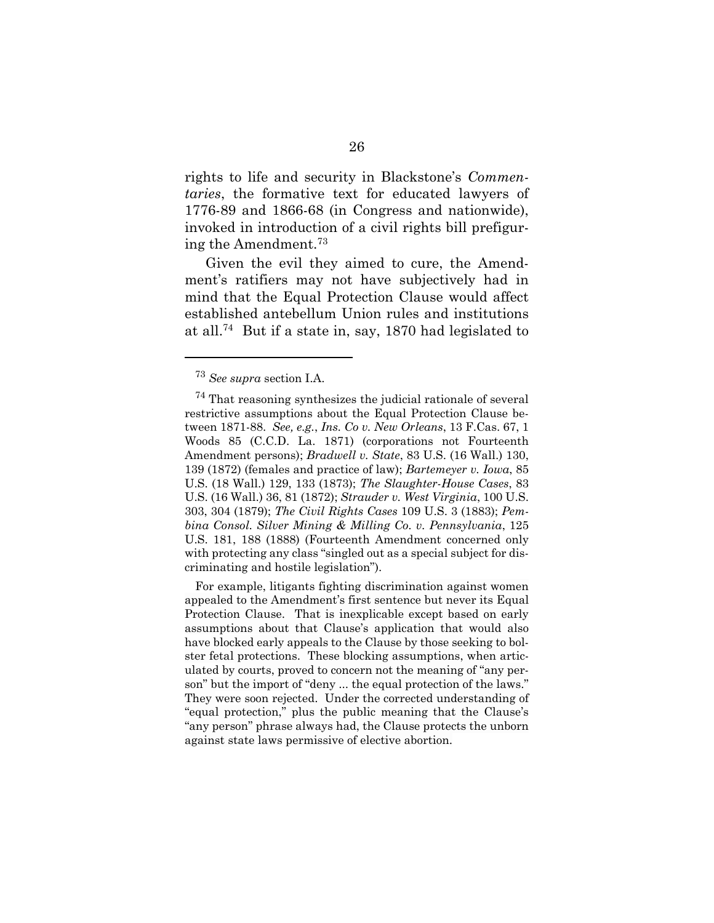rights to life and security in Blackstone's *Commentaries*, the formative text for educated lawyers of 1776-89 and 1866-68 (in Congress and nationwide), invoked in introduction of a civil rights bill prefiguring the Amendment.<sup>73</sup>

Given the evil they aimed to cure, the Amendment's ratifiers may not have subjectively had in mind that the Equal Protection Clause would affect established antebellum Union rules and institutions at all.<sup>74</sup> But if a state in, say, 1870 had legislated to

For example, litigants fighting discrimination against women appealed to the Amendment's first sentence but never its Equal Protection Clause. That is inexplicable except based on early assumptions about that Clause's application that would also have blocked early appeals to the Clause by those seeking to bolster fetal protections. These blocking assumptions, when articulated by courts, proved to concern not the meaning of "any person" but the import of "deny ... the equal protection of the laws." They were soon rejected. Under the corrected understanding of "equal protection," plus the public meaning that the Clause's "any person" phrase always had, the Clause protects the unborn against state laws permissive of elective abortion.

<sup>73</sup> *See supra* section I.A.

<sup>74</sup> That reasoning synthesizes the judicial rationale of several restrictive assumptions about the Equal Protection Clause between 1871-88. *See, e.g.*, *Ins. Co v. New Orleans*, 13 F.Cas. 67, 1 Woods 85 (C.C.D. La. 1871) (corporations not Fourteenth Amendment persons); *Bradwell v. State*, 83 U.S. (16 Wall.) 130, 139 (1872) (females and practice of law); *Bartemeyer v. Iowa*, 85 U.S. (18 Wall.) 129, 133 (1873); *The Slaughter-House Cases*, 83 U.S. (16 Wall.) 36, 81 (1872); *Strauder v. West Virginia*, 100 U.S. 303, 304 (1879); *The Civil Rights Cases* 109 U.S. 3 (1883); *Pembina Consol. Silver Mining & Milling Co. v. Pennsylvania*, 125 U.S. 181, 188 (1888) (Fourteenth Amendment concerned only with protecting any class "singled out as a special subject for discriminating and hostile legislation").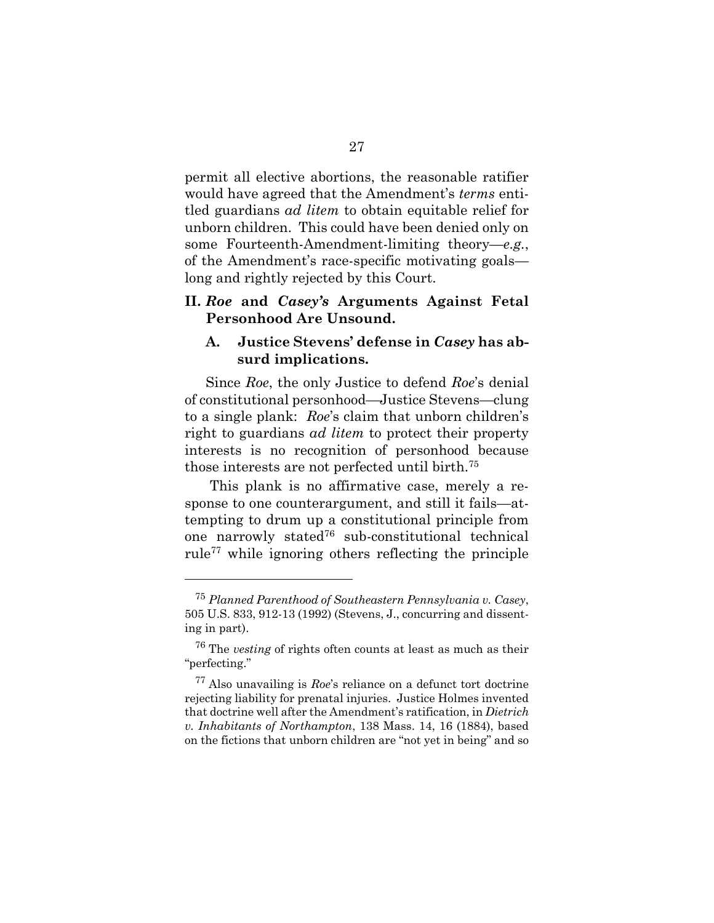permit all elective abortions, the reasonable ratifier would have agreed that the Amendment's *terms* entitled guardians *ad litem* to obtain equitable relief for unborn children. This could have been denied only on some Fourteenth-Amendment-limiting theory—*e.g.*, of the Amendment's race-specific motivating goals long and rightly rejected by this Court.

## <span id="page-35-0"></span>**II.** *Roe* **and** *Casey's* **Arguments Against Fetal Personhood Are Unsound.**

## <span id="page-35-1"></span>**A. Justice Stevens' defense in** *Casey* **has absurd implications.**

Since *Roe*, the only Justice to defend *Roe*'s denial of constitutional personhood—Justice Stevens—clung to a single plank: *Roe*'s claim that unborn children's right to guardians *ad litem* to protect their property interests is no recognition of personhood because those interests are not perfected until birth.<sup>75</sup>

This plank is no affirmative case, merely a response to one counterargument, and still it fails—attempting to drum up a constitutional principle from one narrowly stated<sup>76</sup> sub-constitutional technical rule<sup>77</sup> while ignoring others reflecting the principle

<sup>75</sup> *Planned Parenthood of Southeastern Pennsylvania v. Casey*, 505 U.S. 833, 912-13 (1992) (Stevens, J., concurring and dissenting in part).

<sup>76</sup> The *vesting* of rights often counts at least as much as their "perfecting."

<sup>77</sup> Also unavailing is *Roe*'s reliance on a defunct tort doctrine rejecting liability for prenatal injuries. Justice Holmes invented that doctrine well after the Amendment's ratification, in *Dietrich v. Inhabitants of Northampton*, 138 Mass. 14, 16 (1884), based on the fictions that unborn children are "not yet in being" and so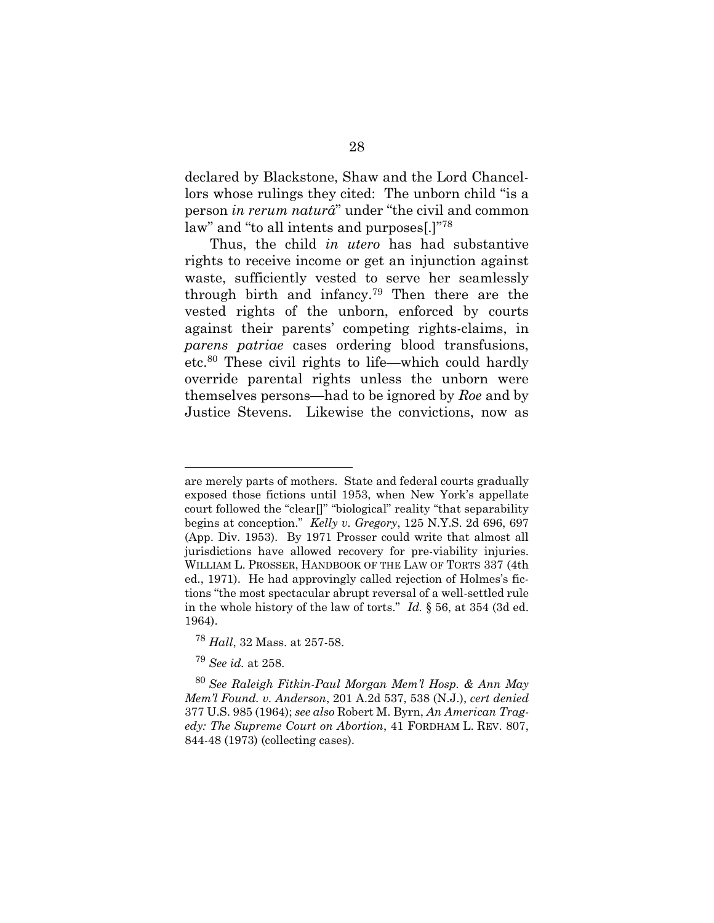declared by Blackstone, Shaw and the Lord Chancellors whose rulings they cited: The unborn child "is a person *in rerum naturâ*" under "the civil and common law" and "to all intents and purposes[.]"<sup>78</sup>

Thus, the child *in utero* has had substantive rights to receive income or get an injunction against waste, sufficiently vested to serve her seamlessly through birth and infancy.<sup>79</sup> Then there are the vested rights of the unborn, enforced by courts against their parents' competing rights-claims, in *parens patriae* cases ordering blood transfusions, etc.<sup>80</sup> These civil rights to life—which could hardly override parental rights unless the unborn were themselves persons—had to be ignored by *Roe* and by Justice Stevens. Likewise the convictions, now as

are merely parts of mothers. State and federal courts gradually exposed those fictions until 1953, when New York's appellate court followed the "clear[]" "biological" reality "that separability begins at conception." *Kelly v. Gregory*, 125 N.Y.S. 2d 696, 697 (App. Div. 1953). By 1971 Prosser could write that almost all jurisdictions have allowed recovery for pre-viability injuries. WILLIAM L. PROSSER, HANDBOOK OF THE LAW OF TORTS 337 (4th ed., 1971). He had approvingly called rejection of Holmes's fictions "the most spectacular abrupt reversal of a well-settled rule in the whole history of the law of torts." *Id.* § 56, at 354 (3d ed. 1964).

<sup>78</sup> *Hall*, 32 Mass. at 257-58.

<sup>79</sup> *See id.* at 258.

<sup>80</sup> *See Raleigh Fitkin-Paul Morgan Mem'l Hosp. & Ann May Mem'l Found. v. Anderson*, 201 A.2d 537, 538 (N.J.), *cert denied* 377 U.S. 985 (1964); *see also* Robert M. Byrn, *An American Tragedy: The Supreme Court on Abortion*, 41 FORDHAM L. REV. 807, 844-48 (1973) (collecting cases).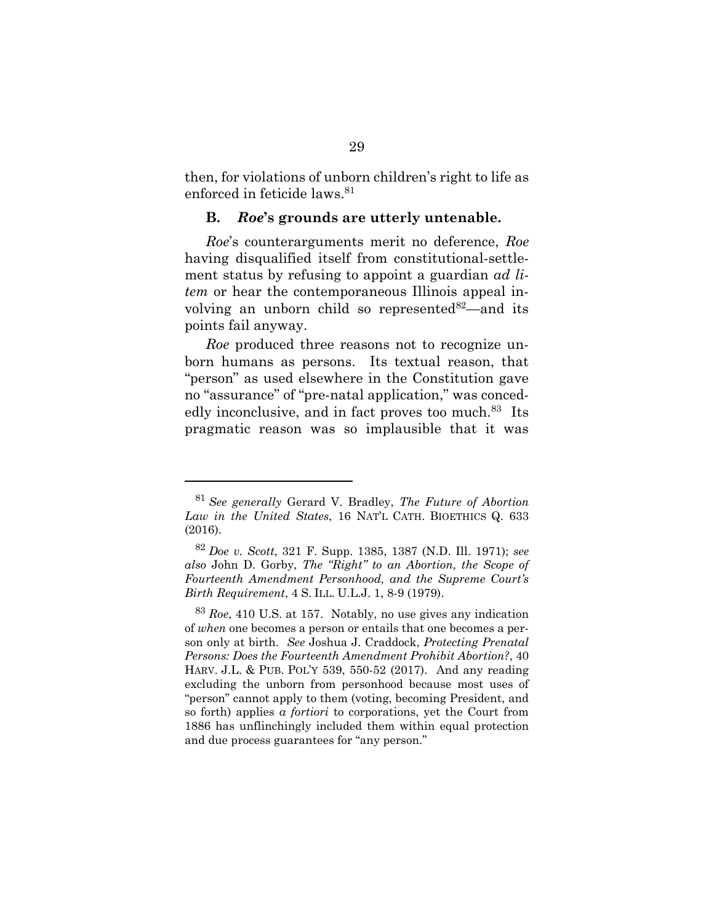then, for violations of unborn children's right to life as enforced in feticide laws.<sup>81</sup>

## <span id="page-37-2"></span><span id="page-37-0"></span>**B.** *Roe***'s grounds are utterly untenable.**

*Roe*'s counterarguments merit no deference, *Roe* having disqualified itself from constitutional-settlement status by refusing to appoint a guardian *ad litem* or hear the contemporaneous Illinois appeal involving an unborn child so represented $82$ —and its points fail anyway.

<span id="page-37-1"></span>*Roe* produced three reasons not to recognize unborn humans as persons. Its textual reason, that "person" as used elsewhere in the Constitution gave no "assurance" of "pre-natal application," was concededly inconclusive, and in fact proves too much.<sup>83</sup> Its pragmatic reason was so implausible that it was

<sup>81</sup> *See generally* Gerard V. Bradley, *The Future of Abortion Law in the United States*, 16 NAT'L CATH. BIOETHICS Q. 633 (2016).

<sup>82</sup> *Doe v. Scott*, 321 F. Supp. 1385, 1387 (N.D. Ill. 1971); *see also* John D. Gorby, *The "Right" to an Abortion, the Scope of Fourteenth Amendment Personhood, and the Supreme Court's Birth Requirement*, 4 S. ILL. U.L.J. 1, 8-9 (1979).

<sup>83</sup> *Roe*, 410 U.S. at 157. Notably, no use gives any indication of *when* one becomes a person or entails that one becomes a person only at birth. *See* Joshua J. Craddock, *Protecting Prenatal Persons: Does the Fourteenth Amendment Prohibit Abortion?*, 40 HARV. J.L. & PUB. POL'Y 539, 550-52 (2017). And any reading excluding the unborn from personhood because most uses of "person" cannot apply to them (voting, becoming President, and so forth) applies *a fortiori* to corporations, yet the Court from 1886 has unflinchingly included them within equal protection and due process guarantees for "any person."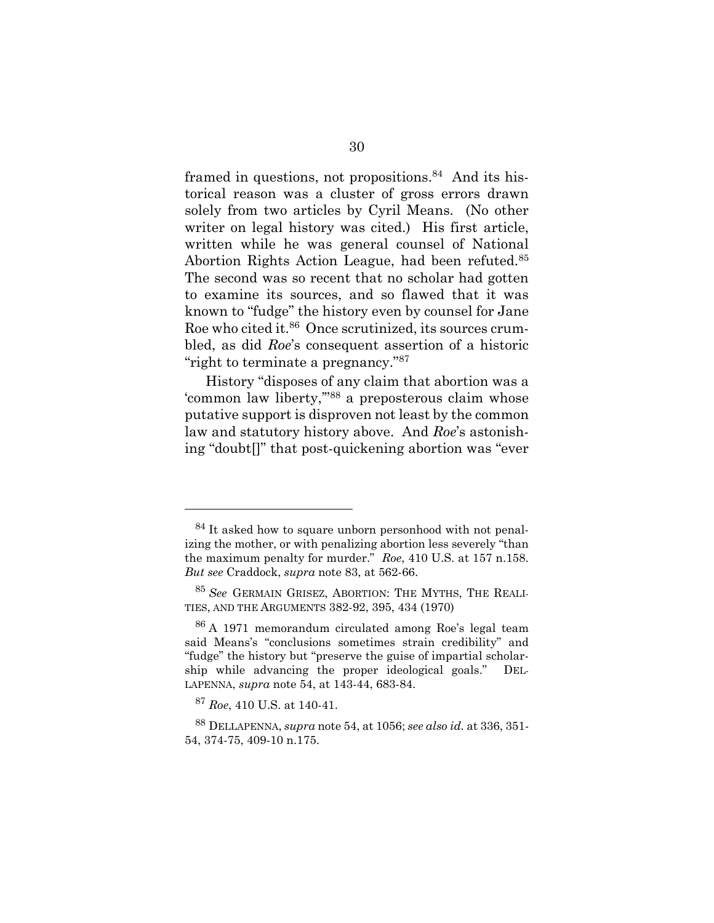framed in questions, not propositions.<sup>84</sup> And its historical reason was a cluster of gross errors drawn solely from two articles by Cyril Means. (No other writer on legal history was cited.) His first article, written while he was general counsel of National Abortion Rights Action League, had been refuted.<sup>85</sup> The second was so recent that no scholar had gotten to examine its sources, and so flawed that it was known to "fudge" the history even by counsel for Jane Roe who cited it.<sup>86</sup> Once scrutinized, its sources crumbled, as did *Roe*'s consequent assertion of a historic "right to terminate a pregnancy."<sup>87</sup>

History "disposes of any claim that abortion was a 'common law liberty,'"<sup>88</sup> a preposterous claim whose putative support is disproven not least by the common law and statutory history above. And *Roe*'s astonishing "doubt[]" that post-quickening abortion was "ever

l

<sup>&</sup>lt;sup>84</sup> It asked how to square unborn personhood with not penalizing the mother, or with penalizing abortion less severely "than the maximum penalty for murder." *Roe*, 410 U.S. at 157 n.158. *But see* Craddock, *supra* note [83,](#page-37-1) at 562-66.

<sup>85</sup> *See* GERMAIN GRISEZ, ABORTION: THE MYTHS, THE REALI-TIES, AND THE ARGUMENTS 382-92, 395, 434 (1970)

<sup>86</sup> A 1971 memorandum circulated among Roe's legal team said Means's "conclusions sometimes strain credibility" and "fudge" the history but "preserve the guise of impartial scholarship while advancing the proper ideological goals." DEL-LAPENNA, *supra* note [54,](#page-29-0) at 143-44, 683-84.

<sup>87</sup> *Roe*, 410 U.S. at 140-41.

<sup>88</sup> DELLAPENNA, *supra* note [54,](#page-29-0) at 1056; *see also id.* at 336, 351- 54, 374-75, 409-10 n.175.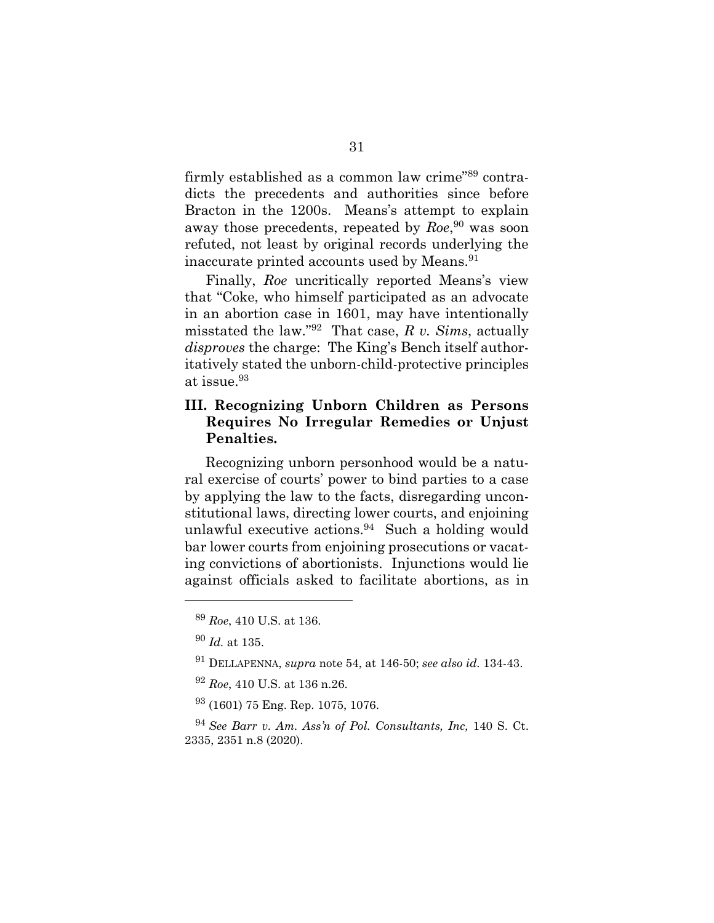firmly established as a common law crime"<sup>89</sup> contradicts the precedents and authorities since before Bracton in the 1200s. Means's attempt to explain away those precedents, repeated by *Roe*, <sup>90</sup> was soon refuted, not least by original records underlying the inaccurate printed accounts used by Means.<sup>91</sup>

Finally, *Roe* uncritically reported Means's view that "Coke, who himself participated as an advocate in an abortion case in 1601, may have intentionally misstated the law."<sup>92</sup> That case, *R v. Sims*, actually *disproves* the charge: The King's Bench itself authoritatively stated the unborn-child-protective principles at issue.<sup>93</sup>

## <span id="page-39-0"></span>**III. Recognizing Unborn Children as Persons Requires No Irregular Remedies or Unjust Penalties.**

Recognizing unborn personhood would be a natural exercise of courts' power to bind parties to a case by applying the law to the facts, disregarding unconstitutional laws, directing lower courts, and enjoining unlawful executive actions.<sup>94</sup> Such a holding would bar lower courts from enjoining prosecutions or vacating convictions of abortionists. Injunctions would lie against officials asked to facilitate abortions, as in

<sup>89</sup> *Roe*, 410 U.S. at 136.

<sup>90</sup> *Id.* at 135.

<sup>91</sup> DELLAPENNA, *supra* note [54,](#page-29-0) at 146-50; *see also id.* 134-43.

<sup>92</sup> *Roe*, 410 U.S. at 136 n.26.

<sup>93</sup> (1601) 75 Eng. Rep. 1075, 1076.

<sup>94</sup> *See Barr v. Am. Ass'n of Pol. Consultants, Inc,* 140 S. Ct. 2335, 2351 n.8 (2020).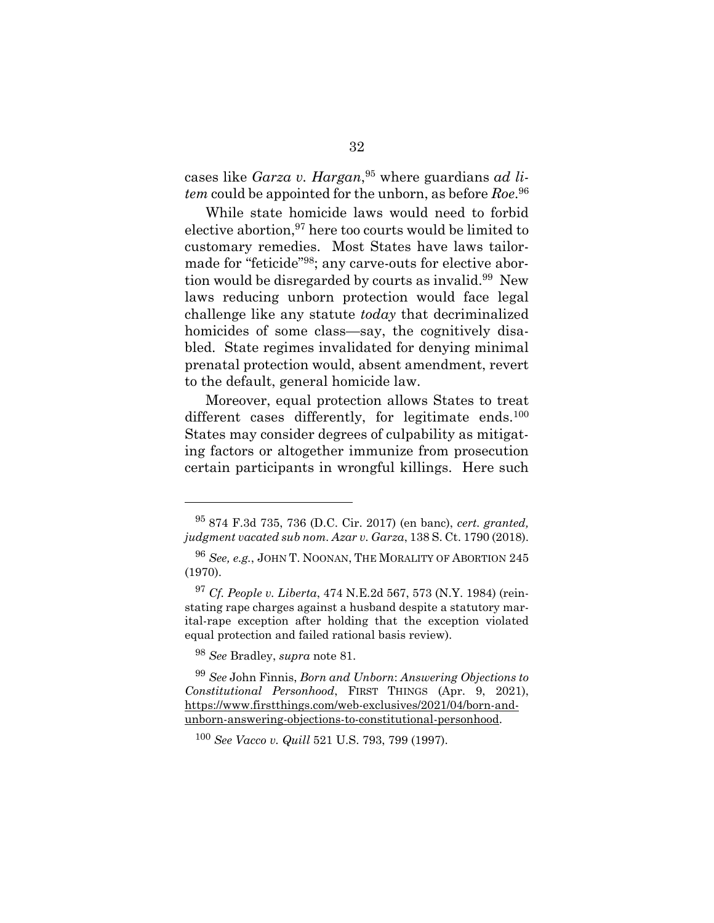cases like *Garza v. Hargan*, <sup>95</sup> where guardians *ad litem* could be appointed for the unborn, as before *Roe*. 96

While state homicide laws would need to forbid elective abortion,  $97$  here too courts would be limited to customary remedies. Most States have laws tailormade for "feticide"98; any carve-outs for elective abortion would be disregarded by courts as invalid.<sup>99</sup> New laws reducing unborn protection would face legal challenge like any statute *today* that decriminalized homicides of some class—say, the cognitively disabled. State regimes invalidated for denying minimal prenatal protection would, absent amendment, revert to the default, general homicide law.

Moreover, equal protection allows States to treat different cases differently, for legitimate ends. $100$ States may consider degrees of culpability as mitigating factors or altogether immunize from prosecution certain participants in wrongful killings. Here such

<sup>95</sup> 874 F.3d 735, 736 (D.C. Cir. 2017) (en banc), *cert. granted, judgment vacated sub nom. Azar v. Garza*, 138 S. Ct. 1790 (2018).

<sup>96</sup> *See, e.g.*, JOHN T. NOONAN, THE MORALITY OF ABORTION 245 (1970).

<sup>97</sup> *Cf. People v. Liberta*, 474 N.E.2d 567, 573 (N.Y. 1984) (reinstating rape charges against a husband despite a statutory marital-rape exception after holding that the exception violated equal protection and failed rational basis review).

<sup>98</sup> *See* Bradley, *supra* note [81.](#page-37-2)

<sup>99</sup> *See* John Finnis, *Born and Unborn*: *Answering Objections to Constitutional Personhood*, FIRST THINGS (Apr. 9, 2021), [https://www.firstthings.com/web-exclusives/2021/04/born-and](https://www.firstthings.com/web-exclusives/2021/04/born-and-unborn-answering-objections-to-constitutional-personhood)[unborn-answering-objections-to-constitutional-personhood.](https://www.firstthings.com/web-exclusives/2021/04/born-and-unborn-answering-objections-to-constitutional-personhood)

<sup>100</sup> *See Vacco v. Quill* 521 U.S. 793, 799 (1997).